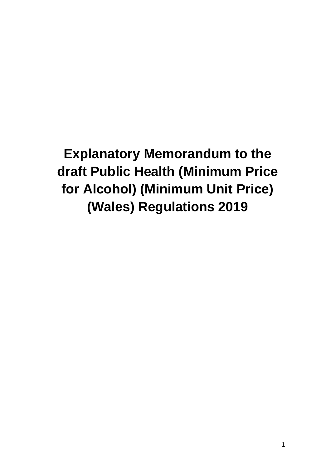**Explanatory Memorandum to the draft Public Health (Minimum Price for Alcohol) (Minimum Unit Price) (Wales) Regulations 2019**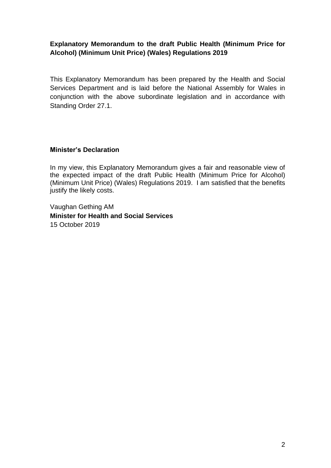## **Explanatory Memorandum to the draft Public Health (Minimum Price for Alcohol) (Minimum Unit Price) (Wales) Regulations 2019**

This Explanatory Memorandum has been prepared by the Health and Social Services Department and is laid before the National Assembly for Wales in conjunction with the above subordinate legislation and in accordance with Standing Order 27.1.

#### **Minister's Declaration**

In my view, this Explanatory Memorandum gives a fair and reasonable view of the expected impact of the draft Public Health (Minimum Price for Alcohol) (Minimum Unit Price) (Wales) Regulations 2019. I am satisfied that the benefits justify the likely costs.

Vaughan Gething AM **Minister for Health and Social Services** 15 October 2019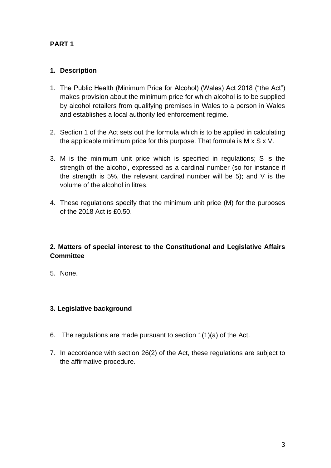# **PART 1**

## **1. Description**

- 1. The Public Health (Minimum Price for Alcohol) (Wales) Act 2018 ("the Act") makes provision about the minimum price for which alcohol is to be supplied by alcohol retailers from qualifying premises in Wales to a person in Wales and establishes a local authority led enforcement regime.
- 2. Section 1 of the Act sets out the formula which is to be applied in calculating the applicable minimum price for this purpose. That formula is M x S x V.
- 3. M is the minimum unit price which is specified in regulations; S is the strength of the alcohol, expressed as a cardinal number (so for instance if the strength is 5%, the relevant cardinal number will be 5); and V is the volume of the alcohol in litres.
- 4. These regulations specify that the minimum unit price (M) for the purposes of the 2018 Act is £0.50.

## **2. Matters of special interest to the Constitutional and Legislative Affairs Committee**

5. None.

## **3. Legislative background**

- 6. The regulations are made pursuant to section 1(1)(a) of the Act.
- 7. In accordance with section 26(2) of the Act, these regulations are subject to the affirmative procedure.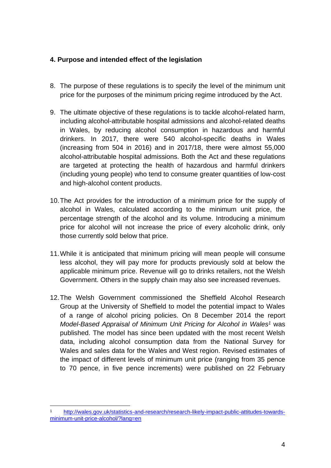## **4. Purpose and intended effect of the legislation**

- 8. The purpose of these regulations is to specify the level of the minimum unit price for the purposes of the minimum pricing regime introduced by the Act.
- 9. The ultimate objective of these regulations is to tackle alcohol-related harm, including alcohol-attributable hospital admissions and alcohol-related deaths in Wales, by reducing alcohol consumption in hazardous and harmful drinkers. In 2017, there were 540 alcohol-specific deaths in Wales (increasing from 504 in 2016) and in 2017/18, there were almost 55,000 alcohol-attributable hospital admissions. Both the Act and these regulations are targeted at protecting the health of hazardous and harmful drinkers (including young people) who tend to consume greater quantities of low-cost and high-alcohol content products.
- 10.The Act provides for the introduction of a minimum price for the supply of alcohol in Wales, calculated according to the minimum unit price, the percentage strength of the alcohol and its volume. Introducing a minimum price for alcohol will not increase the price of every alcoholic drink, only those currently sold below that price.
- 11.While it is anticipated that minimum pricing will mean people will consume less alcohol, they will pay more for products previously sold at below the applicable minimum price. Revenue will go to drinks retailers, not the Welsh Government. Others in the supply chain may also see increased revenues.
- 12.The Welsh Government commissioned the Sheffield Alcohol Research Group at the University of Sheffield to model the potential impact to Wales of a range of alcohol pricing policies. On 8 December 2014 the report *Model-Based Appraisal of Minimum Unit Pricing for Alcohol in Wales<sup>1</sup>* was published. The model has since been updated with the most recent Welsh data, including alcohol consumption data from the National Survey for Wales and sales data for the Wales and West region. Revised estimates of the impact of different levels of minimum unit price (ranging from 35 pence to 70 pence, in five pence increments) were published on 22 February

[http://wales.gov.uk/statistics-and-research/research-likely-impact-public-attitudes-towards](http://wales.gov.uk/statistics-and-research/research-likely-impact-public-attitudes-towards-minimum-unit-price-alcohol/?lang=en)[minimum-unit-price-alcohol/?lang=en](http://wales.gov.uk/statistics-and-research/research-likely-impact-public-attitudes-towards-minimum-unit-price-alcohol/?lang=en)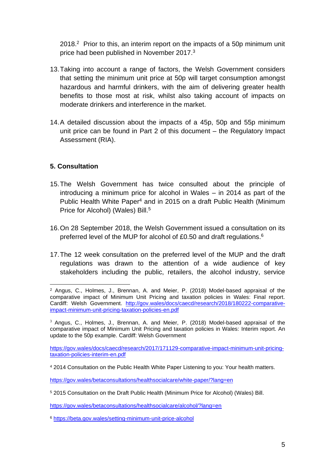2018.<sup>2</sup> Prior to this, an interim report on the impacts of a 50p minimum unit price had been published in November 2017.<sup>3</sup>

- 13.Taking into account a range of factors, the Welsh Government considers that setting the minimum unit price at 50p will target consumption amongst hazardous and harmful drinkers, with the aim of delivering greater health benefits to those most at risk, whilst also taking account of impacts on moderate drinkers and interference in the market.
- 14.A detailed discussion about the impacts of a 45p, 50p and 55p minimum unit price can be found in Part 2 of this document – the Regulatory Impact Assessment (RIA).

## **5. Consultation**

- 15.The Welsh Government has twice consulted about the principle of introducing a minimum price for alcohol in Wales – in 2014 as part of the Public Health White Paper<sup>4</sup> and in 2015 on a draft Public Health (Minimum Price for Alcohol) (Wales) Bill.<sup>5</sup>
- 16.On 28 September 2018, the Welsh Government issued a consultation on its preferred level of the MUP for alcohol of £0.50 and draft regulations.<sup>6</sup>
- 17.The 12 week consultation on the preferred level of the MUP and the draft regulations was drawn to the attention of a wide audience of key stakeholders including the public, retailers, the alcohol industry, service

<https://gov.wales/betaconsultations/healthsocialcare/white-paper/?lang=en>

<https://gov.wales/betaconsultations/healthsocialcare/alcohol/?lang=en>

<sup>6</sup> https://beta.gov.wales/setting-minimum-unit-price-alcohol

<sup>2</sup> Angus, C., Holmes, J., Brennan, A. and Meier, P. (2018) Model-based appraisal of the comparative impact of Minimum Unit Pricing and taxation policies in Wales: Final report. Cardiff: Welsh Government. [http://gov.wales/docs/caecd/research/2018/180222-comparative](http://gov.wales/docs/caecd/research/2018/180222-comparative-impact-minimum-unit-pricing-taxation-policies-en.pdf)[impact-minimum-unit-pricing-taxation-policies-en.pdf](http://gov.wales/docs/caecd/research/2018/180222-comparative-impact-minimum-unit-pricing-taxation-policies-en.pdf)

<sup>3</sup> Angus, C., Holmes, J., Brennan, A. and Meier, P. (2018) Model-based appraisal of the comparative impact of Minimum Unit Pricing and taxation policies in Wales: Interim report. An update to the 50p example. Cardiff: Welsh Government

[https://gov.wales/docs/caecd/research/2017/171129-comparative-impact-minimum-unit-pricing](https://gov.wales/docs/caecd/research/2017/171129-comparative-impact-minimum-unit-pricing-taxation-policies-interim-en.pdf)[taxation-policies-interim-en.pdf](https://gov.wales/docs/caecd/research/2017/171129-comparative-impact-minimum-unit-pricing-taxation-policies-interim-en.pdf)

<sup>4</sup> 2014 Consultation on the Public Health White Paper Listening to you: Your health matters.

<sup>5</sup> 2015 Consultation on the Draft Public Health (Minimum Price for Alcohol) (Wales) Bill.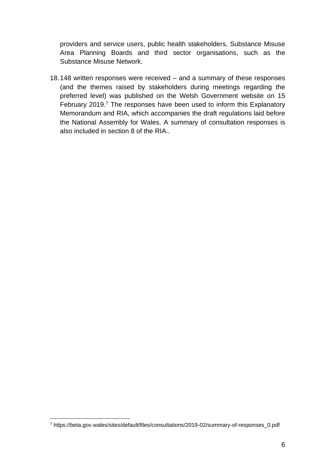providers and service users, public health stakeholders, Substance Misuse Area Planning Boards and third sector organisations, such as the Substance Misuse Network.

18.148 written responses were received – and a summary of these responses (and the themes raised by stakeholders during meetings regarding the preferred level) was published on the Welsh Government website on 15 February 2019.<sup>7</sup> The responses have been used to inform this Explanatory Memorandum and RIA, which accompanies the draft regulations laid before the National Assembly for Wales. A summary of consultation responses is also included in section 8 of the RIA..

<sup>7</sup> https://beta.gov.wales/sites/default/files/consultations/2019-02/summary-of-responses\_0.pdf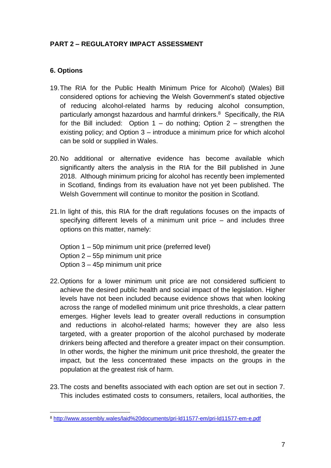# **PART 2 – REGULATORY IMPACT ASSESSMENT**

## **6. Options**

- 19.The RIA for the Public Health Minimum Price for Alcohol) (Wales) Bill considered options for achieving the Welsh Government's stated objective of reducing alcohol-related harms by reducing alcohol consumption, particularly amongst hazardous and harmful drinkers.<sup>8</sup> Specifically, the RIA for the Bill included: Option  $1 -$  do nothing; Option  $2 -$  strengthen the existing policy; and Option 3 – introduce a minimum price for which alcohol can be sold or supplied in Wales.
- 20.No additional or alternative evidence has become available which significantly alters the analysis in the RIA for the Bill published in June 2018. Although minimum pricing for alcohol has recently been implemented in Scotland, findings from its evaluation have not yet been published. The Welsh Government will continue to monitor the position in Scotland.
- 21.In light of this, this RIA for the draft regulations focuses on the impacts of specifying different levels of a minimum unit price – and includes three options on this matter, namely:
	- Option 1 50p minimum unit price (preferred level)
	- Option 2 55p minimum unit price
	- Option 3 45p minimum unit price
- 22.Options for a lower minimum unit price are not considered sufficient to achieve the desired public health and social impact of the legislation. Higher levels have not been included because evidence shows that when looking across the range of modelled minimum unit price thresholds, a clear pattern emerges. Higher levels lead to greater overall reductions in consumption and reductions in alcohol-related harms; however they are also less targeted, with a greater proportion of the alcohol purchased by moderate drinkers being affected and therefore a greater impact on their consumption. In other words, the higher the minimum unit price threshold, the greater the impact, but the less concentrated these impacts on the groups in the population at the greatest risk of harm.
- 23.The costs and benefits associated with each option are set out in section 7. This includes estimated costs to consumers, retailers, local authorities, the

<sup>8</sup> <http://www.assembly.wales/laid%20documents/pri-ld11577-em/pri-ld11577-em-e.pdf>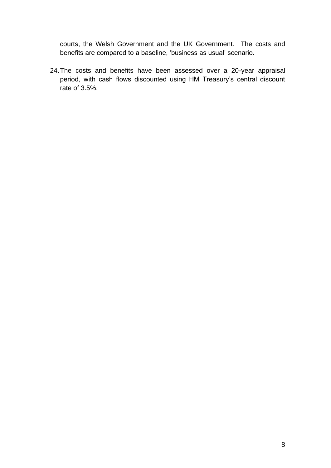courts, the Welsh Government and the UK Government. The costs and benefits are compared to a baseline, 'business as usual' scenario.

24.The costs and benefits have been assessed over a 20-year appraisal period, with cash flows discounted using HM Treasury's central discount rate of 3.5%.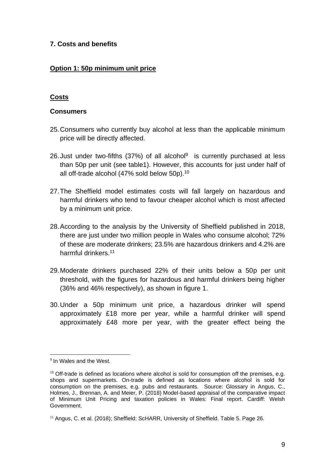### **7. Costs and benefits**

## **Option 1: 50p minimum unit price**

## **Costs**

#### **Consumers**

- 25.Consumers who currently buy alcohol at less than the applicable minimum price will be directly affected.
- 26. Just under two-fifths (37%) of all alcohol<sup>9</sup> is currently purchased at less than 50p per unit (see table1). However, this accounts for just under half of all off-trade alcohol (47% sold below 50p).<sup>10</sup>
- 27.The Sheffield model estimates costs will fall largely on hazardous and harmful drinkers who tend to favour cheaper alcohol which is most affected by a minimum unit price.
- 28.According to the analysis by the University of Sheffield published in 2018, there are just under two million people in Wales who consume alcohol; 72% of these are moderate drinkers; 23.5% are hazardous drinkers and 4.2% are harmful drinkers.<sup>11</sup>
- 29.Moderate drinkers purchased 22% of their units below a 50p per unit threshold, with the figures for hazardous and harmful drinkers being higher (36% and 46% respectively), as shown in figure 1.
- 30.Under a 50p minimum unit price, a hazardous drinker will spend approximately £18 more per year, while a harmful drinker will spend approximately £48 more per year, with the greater effect being the

<sup>&</sup>lt;sup>9</sup> In Wales and the West.

 $10$  Off-trade is defined as locations where alcohol is sold for consumption off the premises, e.g. shops and supermarkets. On-trade is defined as locations where alcohol is sold for consumption on the premises, e.g. pubs and restaurants. Source: Glossary in Angus, C., Holmes, J., Brennan, A. and Meier, P. (2018) Model-based appraisal of the comparative impact of Minimum Unit Pricing and taxation policies in Wales: Final report. Cardiff: Welsh Government.

<sup>&</sup>lt;sup>11</sup> Angus, C. et al. (2018); Sheffield: ScHARR, University of Sheffield. Table 5. Page 26.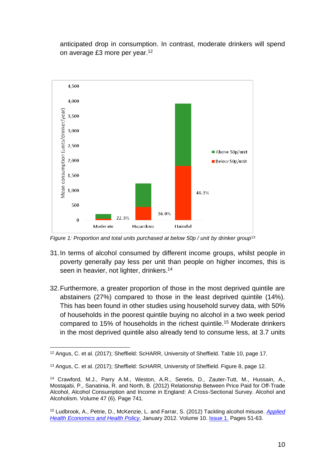anticipated drop in consumption. In contrast, moderate drinkers will spend on average £3 more per year.<sup>12</sup>



*Figure 1: Proportion and total units purchased at below 50p / unit by drinker group*<sup>13</sup>

- 31.In terms of alcohol consumed by different income groups, whilst people in poverty generally pay less per unit than people on higher incomes, this is seen in heavier, not lighter, drinkers.<sup>14</sup>
- 32.Furthermore, a greater proportion of those in the most deprived quintile are abstainers (27%) compared to those in the least deprived quintile (14%). This has been found in other studies using household survey data, with 50% of households in the poorest quintile buying no alcohol in a two week period compared to 15% of households in the richest quintile.<sup>15</sup> Moderate drinkers in the most deprived quintile also already tend to consume less, at 3.7 units

<sup>12</sup> Angus, C. et al. (2017); Sheffield: ScHARR, University of Sheffield. Table 10, page 17.

<sup>13</sup> Angus, C. et al. (2017); Sheffield: ScHARR, University of Sheffield. Figure 8, page 12.

<sup>14</sup> Crawford, M.J., Parry A.M., Weston, A.R., Seretis, D., Zauter-Tutt, M., Hussain, A., Mostajabi, P., Sanatinia, R. and North, B. (2012) Relationship Between Price Paid for Off-Trade Alcohol, Alcohol Consumption and Income in England: A Cross-Sectional Survey. Alcohol and Alcoholism. Volume 47 (6). Page 741.

<sup>15</sup> Ludbrook, A., Petrie, D., McKenzie, L. and Farrar, S. (2012) Tackling alcohol misuse. *[Applied](http://rd.springer.com/journal/40258)  [Health Economics and Health Policy.](http://rd.springer.com/journal/40258)* January 2012. Volume 10. [Issue 1.](http://rd.springer.com/journal/40258/10/1/page/1) Pages 51-63.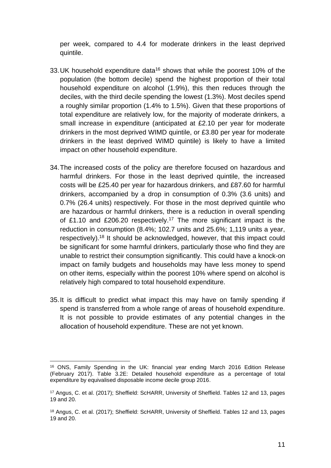per week, compared to 4.4 for moderate drinkers in the least deprived quintile.

- 33.UK household expenditure data<sup>16</sup> shows that while the poorest 10% of the population (the bottom decile) spend the highest proportion of their total household expenditure on alcohol (1.9%), this then reduces through the deciles, with the third decile spending the lowest (1.3%). Most deciles spend a roughly similar proportion (1.4% to 1.5%). Given that these proportions of total expenditure are relatively low, for the majority of moderate drinkers, a small increase in expenditure (anticipated at £2.10 per year for moderate drinkers in the most deprived WIMD quintile, or £3.80 per year for moderate drinkers in the least deprived WIMD quintile) is likely to have a limited impact on other household expenditure.
- 34.The increased costs of the policy are therefore focused on hazardous and harmful drinkers. For those in the least deprived quintile, the increased costs will be £25.40 per year for hazardous drinkers, and £87.60 for harmful drinkers, accompanied by a drop in consumption of 0.3% (3.6 units) and 0.7% (26.4 units) respectively. For those in the most deprived quintile who are hazardous or harmful drinkers, there is a reduction in overall spending of £1.10 and £206.20 respectively.<sup>17</sup> The more significant impact is the reduction in consumption (8.4%; 102.7 units and 25.6%; 1,119 units a year, respectively).<sup>18</sup> It should be acknowledged, however, that this impact could be significant for some harmful drinkers, particularly those who find they are unable to restrict their consumption significantly. This could have a knock-on impact on family budgets and households may have less money to spend on other items, especially within the poorest 10% where spend on alcohol is relatively high compared to total household expenditure.
- 35.It is difficult to predict what impact this may have on family spending if spend is transferred from a whole range of areas of household expenditure. It is not possible to provide estimates of any potential changes in the allocation of household expenditure. These are not yet known.

<sup>16</sup> ONS, Family Spending in the UK: financial year ending March 2016 Edition Release (February 2017). Table 3.2E: Detailed household expenditure as a percentage of total expenditure by equivalised disposable income decile group 2016.

<sup>17</sup> Angus, C. et al. (2017); Sheffield: ScHARR, University of Sheffield. Tables 12 and 13, pages 19 and 20.

<sup>&</sup>lt;sup>18</sup> Angus, C. et al. (2017); Sheffield: ScHARR, University of Sheffield. Tables 12 and 13, pages 19 and 20.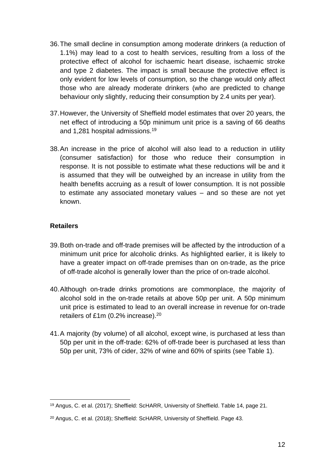- 36.The small decline in consumption among moderate drinkers (a reduction of 1.1%) may lead to a cost to health services, resulting from a loss of the protective effect of alcohol for ischaemic heart disease, ischaemic stroke and type 2 diabetes. The impact is small because the protective effect is only evident for low levels of consumption, so the change would only affect those who are already moderate drinkers (who are predicted to change behaviour only slightly, reducing their consumption by 2.4 units per year).
- 37.However, the University of Sheffield model estimates that over 20 years, the net effect of introducing a 50p minimum unit price is a saving of 66 deaths and 1,281 hospital admissions.<sup>19</sup>
- 38.An increase in the price of alcohol will also lead to a reduction in utility (consumer satisfaction) for those who reduce their consumption in response. It is not possible to estimate what these reductions will be and it is assumed that they will be outweighed by an increase in utility from the health benefits accruing as a result of lower consumption. It is not possible to estimate any associated monetary values – and so these are not yet known.

#### **Retailers**

- 39.Both on-trade and off-trade premises will be affected by the introduction of a minimum unit price for alcoholic drinks. As highlighted earlier, it is likely to have a greater impact on off-trade premises than on on-trade, as the price of off-trade alcohol is generally lower than the price of on-trade alcohol.
- 40.Although on-trade drinks promotions are commonplace, the majority of alcohol sold in the on-trade retails at above 50p per unit. A 50p minimum unit price is estimated to lead to an overall increase in revenue for on-trade retailers of £1m (0.2% increase).<sup>20</sup>
- 41.A majority (by volume) of all alcohol, except wine, is purchased at less than 50p per unit in the off-trade: 62% of off-trade beer is purchased at less than 50p per unit, 73% of cider, 32% of wine and 60% of spirits (see Table 1).

<sup>19</sup> Angus, C. et al. (2017); Sheffield: ScHARR, University of Sheffield. Table 14, page 21.

<sup>20</sup> Angus, C. et al. (2018); Sheffield: ScHARR, University of Sheffield. Page 43.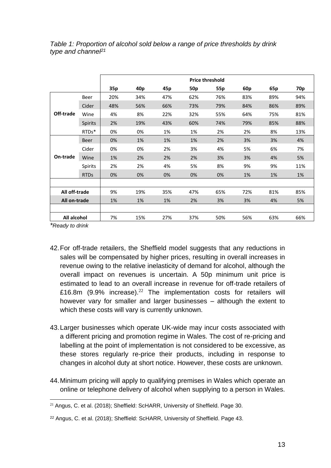|               |                |     |                 |     |                 | <b>Price threshold</b> |                 |     |                 |
|---------------|----------------|-----|-----------------|-----|-----------------|------------------------|-----------------|-----|-----------------|
|               |                | 35p | 40 <sub>p</sub> | 45p | 50 <sub>p</sub> | 55p                    | 60 <sub>p</sub> | 65p | 70 <sub>p</sub> |
|               | Beer           | 20% | 34%             | 47% | 62%             | 76%                    | 83%             | 89% | 94%             |
|               | Cider          | 48% | 56%             | 66% | 73%             | 79%                    | 84%             | 86% | 89%             |
| Off-trade     | Wine           | 4%  | 8%              | 22% | 32%             | 55%                    | 64%             | 75% | 81%             |
|               | <b>Spirits</b> | 2%  | 19%             | 43% | 60%             | 74%                    | 79%             | 85% | 88%             |
|               | RTDs*          | 0%  | 0%              | 1%  | 1%              | 2%                     | 2%              | 8%  | 13%             |
|               | <b>Beer</b>    | 0%  | 1%              | 1%  | 1%              | 2%                     | 3%              | 3%  | 4%              |
|               | Cider          | 0%  | 0%              | 2%  | 3%              | 4%                     | 5%              | 6%  | 7%              |
| On-trade      | Wine           | 1%  | 2%              | 2%  | 2%              | 3%                     | 3%              | 4%  | 5%              |
|               | Spirits        | 2%  | 2%              | 4%  | 5%              | 8%                     | 9%              | 9%  | 11%             |
|               | <b>RTDs</b>    | 0%  | 0%              | 0%  | 0%              | 0%                     | 1%              | 1%  | 1%              |
|               |                |     |                 |     |                 |                        |                 |     |                 |
| All off-trade |                | 9%  | 19%             | 35% | 47%             | 65%                    | 72%             | 81% | 85%             |
| All on-trade  |                | 1%  | 1%              | 1%  | 2%              | 3%                     | 3%              | 4%  | 5%              |
|               |                |     |                 |     |                 |                        |                 |     |                 |
| All alcohol   |                | 7%  | 15%             | 27% | 37%             | 50%                    | 56%             | 63% | 66%             |

### *Table 1: Proportion of alcohol sold below a range of price thresholds by drink type and channel<sup>21</sup>*

*\*Ready to drink*

- 42.For off-trade retailers, the Sheffield model suggests that any reductions in sales will be compensated by higher prices, resulting in overall increases in revenue owing to the relative inelasticity of demand for alcohol, although the overall impact on revenues is uncertain. A 50p minimum unit price is estimated to lead to an overall increase in revenue for off-trade retailers of £16.8m (9.9% increase).<sup>22</sup> The implementation costs for retailers will however vary for smaller and larger businesses – although the extent to which these costs will vary is currently unknown.
- 43.Larger businesses which operate UK-wide may incur costs associated with a different pricing and promotion regime in Wales. The cost of re-pricing and labelling at the point of implementation is not considered to be excessive, as these stores regularly re-price their products, including in response to changes in alcohol duty at short notice. However, these costs are unknown.
- 44.Minimum pricing will apply to qualifying premises in Wales which operate an online or telephone delivery of alcohol when supplying to a person in Wales.

 $21$  Angus, C. et al. (2018); Sheffield: ScHARR, University of Sheffield. Page 30.

<sup>22</sup> Angus, C. et al. (2018); Sheffield: ScHARR, University of Sheffield. Page 43.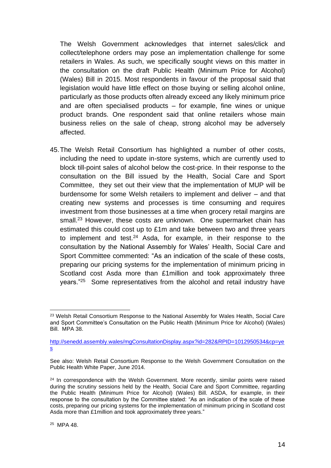The Welsh Government acknowledges that internet sales/click and collect/telephone orders may pose an implementation challenge for some retailers in Wales. As such, we specifically sought views on this matter in the consultation on the draft Public Health (Minimum Price for Alcohol) (Wales) Bill in 2015. Most respondents in favour of the proposal said that legislation would have little effect on those buying or selling alcohol online, particularly as those products often already exceed any likely minimum price and are often specialised products – for example, fine wines or unique product brands. One respondent said that online retailers whose main business relies on the sale of cheap, strong alcohol may be adversely affected.

45.The Welsh Retail Consortium has highlighted a number of other costs, including the need to update in-store systems, which are currently used to block till-point sales of alcohol below the cost-price. In their response to the consultation on the Bill issued by the Health, Social Care and Sport Committee, they set out their view that the implementation of MUP will be burdensome for some Welsh retailers to implement and deliver – and that creating new systems and processes is time consuming and requires investment from those businesses at a time when grocery retail margins are small.<sup>23</sup> However, these costs are unknown. One supermarket chain has estimated this could cost up to £1m and take between two and three years to implement and test. $24$  Asda, for example, in their response to the consultation by the National Assembly for Wales' Health, Social Care and Sport Committee commented: "As an indication of the scale of these costs, preparing our pricing systems for the implementation of minimum pricing in Scotland cost Asda more than £1million and took approximately three years."<sup>25</sup> Some representatives from the alcohol and retail industry have

<sup>&</sup>lt;sup>23</sup> Welsh Retail Consortium Response to the National Assembly for Wales Health, Social Care and Sport Committee's Consultation on the Public Health (Minimum Price for Alcohol) (Wales) Bill. MPA 38.

[http://senedd.assembly.wales/mgConsultationDisplay.aspx?id=282&RPID=1012950534&cp=ye](http://senedd.assembly.wales/mgConsultationDisplay.aspx?id=282&RPID=1012950534&cp=yes) [s](http://senedd.assembly.wales/mgConsultationDisplay.aspx?id=282&RPID=1012950534&cp=yes)

See also: Welsh Retail Consortium Response to the Welsh Government Consultation on the Public Health White Paper, June 2014.

 $24$  In correspondence with the Welsh Government. More recently, similar points were raised during the scrutiny sessions held by the Health, Social Care and Sport Committee, regarding the Public Health (Minimum Price for Alcohol) (Wales) Bill. ASDA, for example, in their response to the consultation by the Committee stated: "As an indication of the scale of these costs, preparing our pricing systems for the implementation of minimum pricing in Scotland cost Asda more than £1million and took approximately three years."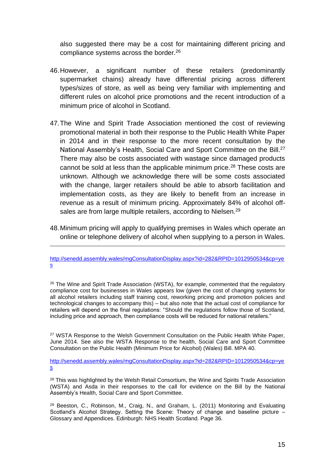also suggested there may be a cost for maintaining different pricing and compliance systems across the border.<sup>26</sup>

- 46.However, a significant number of these retailers (predominantly supermarket chains) already have differential pricing across different types/sizes of store, as well as being very familiar with implementing and different rules on alcohol price promotions and the recent introduction of a minimum price of alcohol in Scotland.
- 47.The Wine and Spirit Trade Association mentioned the cost of reviewing promotional material in both their response to the Public Health White Paper in 2014 and in their response to the more recent consultation by the National Assembly's Health, Social Care and Sport Committee on the Bill.<sup>27</sup> There may also be costs associated with wastage since damaged products cannot be sold at less than the applicable minimum price.<sup>28</sup> These costs are unknown. Although we acknowledge there will be some costs associated with the change, larger retailers should be able to absorb facilitation and implementation costs, as they are likely to benefit from an increase in revenue as a result of minimum pricing. Approximately 84% of alcohol offsales are from large multiple retailers, according to Nielsen.<sup>29</sup>
- 48.Minimum pricing will apply to qualifying premises in Wales which operate an online or telephone delivery of alcohol when supplying to a person in Wales.

[http://senedd.assembly.wales/mgConsultationDisplay.aspx?id=282&RPID=1012950534&cp=ye](http://senedd.assembly.wales/mgConsultationDisplay.aspx?id=282&RPID=1012950534&cp=yes) [s](http://senedd.assembly.wales/mgConsultationDisplay.aspx?id=282&RPID=1012950534&cp=yes)

<sup>26</sup> The Wine and Spirit Trade Association (WSTA), for example, commented that the regulatory compliance cost for businesses in Wales appears low (given the cost of changing systems for all alcohol retailers including staff training cost, reworking pricing and promotion policies and technological changes to accompany this) – but also note that the actual cost of compliance for retailers will depend on the final regulations: "Should the regulations follow those of Scotland, including price and approach, then compliance costs will be reduced for national retailers."

<sup>27</sup> WSTA Response to the Welsh Government Consultation on the Public Health White Paper. June 2014. See also the WSTA Response to the health, Social Care and Sport Committee Consultation on the Public Health (Minimum Price for Alcohol) (Wales) Bill. MPA 40.

[http://senedd.assembly.wales/mgConsultationDisplay.aspx?id=282&RPID=1012950534&cp=ye](http://senedd.assembly.wales/mgConsultationDisplay.aspx?id=282&RPID=1012950534&cp=yes) [s](http://senedd.assembly.wales/mgConsultationDisplay.aspx?id=282&RPID=1012950534&cp=yes)

<sup>28</sup> This was highlighted by the Welsh Retail Consortium, the Wine and Spirits Trade Association (WSTA) and Asda in their responses to the call for evidence on the Bill by the National Assembly's Health, Social Care and Sport Committee.

<sup>29</sup> Beeston, C., Robinson, M., Craig, N., and Graham, L. (2011) Monitoring and Evaluating Scotland's Alcohol Strategy. Setting the Scene: Theory of change and baseline picture – Glossary and Appendices. Edinburgh: NHS Health Scotland. Page 36.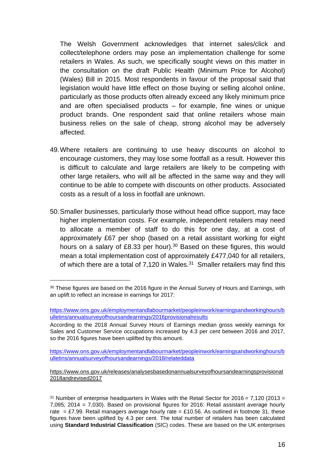The Welsh Government acknowledges that internet sales/click and collect/telephone orders may pose an implementation challenge for some retailers in Wales. As such, we specifically sought views on this matter in the consultation on the draft Public Health (Minimum Price for Alcohol) (Wales) Bill in 2015. Most respondents in favour of the proposal said that legislation would have little effect on those buying or selling alcohol online, particularly as those products often already exceed any likely minimum price and are often specialised products – for example, fine wines or unique product brands. One respondent said that online retailers whose main business relies on the sale of cheap, strong alcohol may be adversely affected.

- 49.Where retailers are continuing to use heavy discounts on alcohol to encourage customers, they may lose some footfall as a result. However this is difficult to calculate and large retailers are likely to be competing with other large retailers, who will all be affected in the same way and they will continue to be able to compete with discounts on other products. Associated costs as a result of a loss in footfall are unknown.
- 50.Smaller businesses, particularly those without head office support, may face higher implementation costs. For example, independent retailers may need to allocate a member of staff to do this for one day, at a cost of approximately £67 per shop (based on a retail assistant working for eight hours on a salary of £8.33 per hour).<sup>30</sup> Based on these figures, this would mean a total implementation cost of approximately £477,040 for all retailers, of which there are a total of 7,120 in Wales. $31$  Smaller retailers may find this

[https://www.ons.gov.uk/employmentandlabourmarket/peopleinwork/earningsandworkinghours/b](https://www.ons.gov.uk/employmentandlabourmarket/peopleinwork/earningsandworkinghours/bulletins/annualsurveyofhoursandearnings/2018/relateddata) [ulletins/annualsurveyofhoursandearnings/2018/relateddata](https://www.ons.gov.uk/employmentandlabourmarket/peopleinwork/earningsandworkinghours/bulletins/annualsurveyofhoursandearnings/2018/relateddata)

[https://www.ons.gov.uk/releases/analysesbasedonannualsurveyofhoursandearningsprovisional](https://www.ons.gov.uk/releases/analysesbasedonannualsurveyofhoursandearningsprovisional2018andrevised2017) [2018andrevised2017](https://www.ons.gov.uk/releases/analysesbasedonannualsurveyofhoursandearningsprovisional2018andrevised2017)

<sup>30</sup> These figures are based on the 2016 figure in the Annual Survey of Hours and Earnings, with an uplift to reflect an increase in earnings for 2017:

[https://www.ons.gov.uk/employmentandlabourmarket/peopleinwork/earningsandworkinghours/b](https://www.ons.gov.uk/employmentandlabourmarket/peopleinwork/earningsandworkinghours/bulletins/annualsurveyofhoursandearnings/2016provisionalresults) [ulletins/annualsurveyofhoursandearnings/2016provisionalresults](https://www.ons.gov.uk/employmentandlabourmarket/peopleinwork/earningsandworkinghours/bulletins/annualsurveyofhoursandearnings/2016provisionalresults) 

According to the 2018 Annual Survey Hours of Earnings median gross weekly earnings for Sales and Customer Service occupations increased by 4.3 per cent between 2016 and 2017, so the 2016 figures have been uplifted by this amount.

 $31$  Number of enterprise headquarters in Wales with the Retail Sector for 2016 = 7,120 (2013 = 7,095, 2014 = 7,030). Based on provisional figures for 2016: Retail assistant average hourly rate = £7.99. Retail managers average hourly rate = £10.56. As outlined in footnote 31, these figures have been uplifted by 4.3 per cent. The total number of retailers has been calculated using **Standard Industrial Classification** (SIC) codes. These are based on the UK enterprises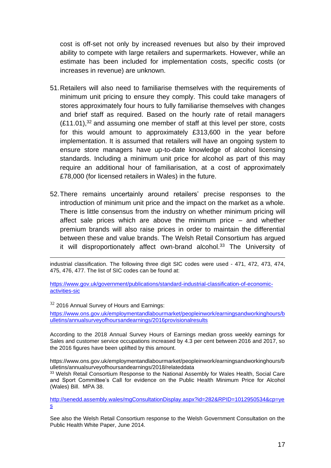cost is off-set not only by increased revenues but also by their improved ability to compete with large retailers and supermarkets. However, while an estimate has been included for implementation costs, specific costs (or increases in revenue) are unknown.

- 51.Retailers will also need to familiarise themselves with the requirements of minimum unit pricing to ensure they comply. This could take managers of stores approximately four hours to fully familiarise themselves with changes and brief staff as required. Based on the hourly rate of retail managers  $(E11.01)$ ,<sup>32</sup> and assuming one member of staff at this level per store, costs for this would amount to approximately £313,600 in the year before implementation. It is assumed that retailers will have an ongoing system to ensure store managers have up-to-date knowledge of alcohol licensing standards. Including a minimum unit price for alcohol as part of this may require an additional hour of familiarisation, at a cost of approximately £78,000 (for licensed retailers in Wales) in the future.
- 52.There remains uncertainly around retailers' precise responses to the introduction of minimum unit price and the impact on the market as a whole. There is little consensus from the industry on whether minimum pricing will affect sale prices which are above the minimum price – and whether premium brands will also raise prices in order to maintain the differential between these and value brands. The Welsh Retail Consortium has argued it will disproportionately affect own-brand alcohol.<sup>33</sup> The University of

industrial classification. The following three digit SIC codes were used - 471, 472, 473, 474, 475, 476, 477. The list of SIC codes can be found at:

[https://www.gov.uk/government/publications/standard-industrial-classification-of-economic](https://www.gov.uk/government/publications/standard-industrial-classification-of-economic-activities-sic)[activities-sic](https://www.gov.uk/government/publications/standard-industrial-classification-of-economic-activities-sic) 

 $32$  2016 Annual Survey of Hours and Earnings: [https://www.ons.gov.uk/employmentandlabourmarket/peopleinwork/earningsandworkinghours/b](https://www.ons.gov.uk/employmentandlabourmarket/peopleinwork/earningsandworkinghours/bulletins/annualsurveyofhoursandearnings/2016provisionalresults) [ulletins/annualsurveyofhoursandearnings/2016provisionalresults](https://www.ons.gov.uk/employmentandlabourmarket/peopleinwork/earningsandworkinghours/bulletins/annualsurveyofhoursandearnings/2016provisionalresults) 

According to the 2018 Annual Survey Hours of Earnings median gross weekly earnings for Sales and customer service occupations increased by 4.3 per cent between 2016 and 2017, so the 2016 figures have been uplifted by this amount.

https://www.ons.gov.uk/employmentandlabourmarket/peopleinwork/earningsandworkinghours/b ulletins/annualsurveyofhoursandearnings/2018/relateddata

<sup>33</sup> Welsh Retail Consortium Response to the National Assembly for Wales Health, Social Care and Sport Committee's Call for evidence on the Public Health Minimum Price for Alcohol (Wales) Bill. MPA 38.

[http://senedd.assembly.wales/mgConsultationDisplay.aspx?id=282&RPID=1012950534&cp=ye](http://senedd.assembly.wales/mgConsultationDisplay.aspx?id=282&RPID=1012950534&cp=yes) [s](http://senedd.assembly.wales/mgConsultationDisplay.aspx?id=282&RPID=1012950534&cp=yes)

See also the Welsh Retail Consortium response to the Welsh Government Consultation on the Public Health White Paper, June 2014.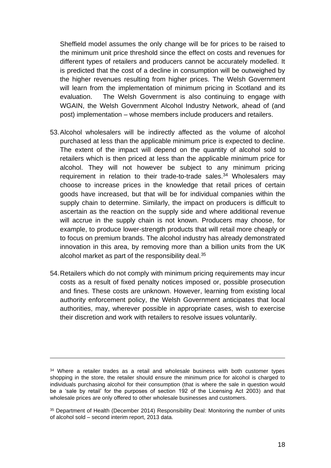Sheffield model assumes the only change will be for prices to be raised to the minimum unit price threshold since the effect on costs and revenues for different types of retailers and producers cannot be accurately modelled. It is predicted that the cost of a decline in consumption will be outweighed by the higher revenues resulting from higher prices. The Welsh Government will learn from the implementation of minimum pricing in Scotland and its evaluation. The Welsh Government is also continuing to engage with WGAIN, the Welsh Government Alcohol Industry Network, ahead of (and post) implementation – whose members include producers and retailers.

- 53.Alcohol wholesalers will be indirectly affected as the volume of alcohol purchased at less than the applicable minimum price is expected to decline. The extent of the impact will depend on the quantity of alcohol sold to retailers which is then priced at less than the applicable minimum price for alcohol. They will not however be subject to any minimum pricing requirement in relation to their trade-to-trade sales.<sup>34</sup> Wholesalers may choose to increase prices in the knowledge that retail prices of certain goods have increased, but that will be for individual companies within the supply chain to determine. Similarly, the impact on producers is difficult to ascertain as the reaction on the supply side and where additional revenue will accrue in the supply chain is not known. Producers may choose, for example, to produce lower-strength products that will retail more cheaply or to focus on premium brands. The alcohol industry has already demonstrated innovation in this area, by removing more than a billion units from the UK alcohol market as part of the responsibility deal.<sup>35</sup>
- 54.Retailers which do not comply with minimum pricing requirements may incur costs as a result of fixed penalty notices imposed or, possible prosecution and fines. These costs are unknown. However, learning from existing local authority enforcement policy, the Welsh Government anticipates that local authorities, may, wherever possible in appropriate cases, wish to exercise their discretion and work with retailers to resolve issues voluntarily.

<sup>&</sup>lt;sup>34</sup> Where a retailer trades as a retail and wholesale business with both customer types shopping in the store, the retailer should ensure the minimum price for alcohol is charged to individuals purchasing alcohol for their consumption (that is where the sale in question would be a 'sale by retail' for the purposes of section 192 of the Licensing Act 2003) and that wholesale prices are only offered to other wholesale businesses and customers.

<sup>&</sup>lt;sup>35</sup> Department of Health (December 2014) Responsibility Deal: Monitoring the number of units of alcohol sold – second interim report, 2013 data.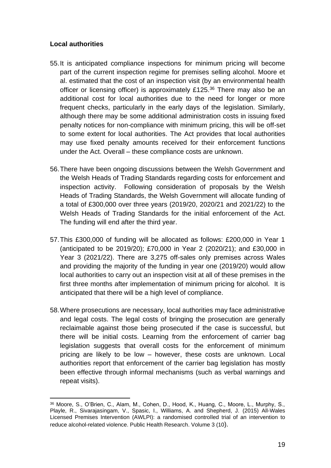## **Local authorities**

- 55.It is anticipated compliance inspections for minimum pricing will become part of the current inspection regime for premises selling alcohol. Moore et al. estimated that the cost of an inspection visit (by an environmental health officer or licensing officer) is approximately £125.<sup>36</sup> There may also be an additional cost for local authorities due to the need for longer or more frequent checks, particularly in the early days of the legislation. Similarly, although there may be some additional administration costs in issuing fixed penalty notices for non-compliance with minimum pricing, this will be off-set to some extent for local authorities. The Act provides that local authorities may use fixed penalty amounts received for their enforcement functions under the Act. Overall – these compliance costs are unknown.
- 56.There have been ongoing discussions between the Welsh Government and the Welsh Heads of Trading Standards regarding costs for enforcement and inspection activity. Following consideration of proposals by the Welsh Heads of Trading Standards, the Welsh Government will allocate funding of a total of £300,000 over three years (2019/20, 2020/21 and 2021/22) to the Welsh Heads of Trading Standards for the initial enforcement of the Act. The funding will end after the third year.
- 57.This £300,000 of funding will be allocated as follows: £200,000 in Year 1 (anticipated to be 2019/20); £70,000 in Year 2 (2020/21); and £30,000 in Year 3 (2021/22). There are 3,275 off-sales only premises across Wales and providing the majority of the funding in year one (2019/20) would allow local authorities to carry out an inspection visit at all of these premises in the first three months after implementation of minimum pricing for alcohol. It is anticipated that there will be a high level of compliance.
- 58.Where prosecutions are necessary, local authorities may face administrative and legal costs. The legal costs of bringing the prosecution are generally reclaimable against those being prosecuted if the case is successful, but there will be initial costs. Learning from the enforcement of carrier bag legislation suggests that overall costs for the enforcement of minimum pricing are likely to be low – however, these costs are unknown. Local authorities report that enforcement of the carrier bag legislation has mostly been effective through informal mechanisms (such as verbal warnings and repeat visits).

<sup>36</sup> Moore, S., O'Brien, C., Alam, M., Cohen, D., Hood, K., Huang, C., Moore, L., Murphy, S., Playle, R., Sivarajasingam, V., Spasic, I., Williams, A. and Shepherd, J. (2015) All-Wales Licensed Premises Intervention (AWLPI): a randomised controlled trial of an intervention to reduce alcohol-related violence. Public Health Research. Volume 3 (10).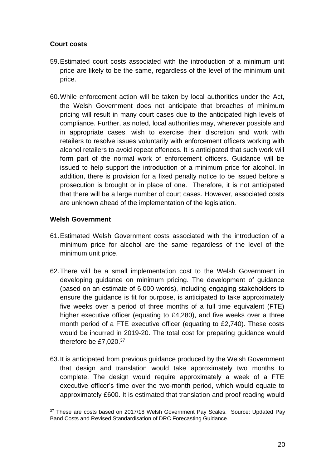## **Court costs**

- 59.Estimated court costs associated with the introduction of a minimum unit price are likely to be the same, regardless of the level of the minimum unit price.
- 60.While enforcement action will be taken by local authorities under the Act, the Welsh Government does not anticipate that breaches of minimum pricing will result in many court cases due to the anticipated high levels of compliance. Further, as noted, local authorities may, wherever possible and in appropriate cases, wish to exercise their discretion and work with retailers to resolve issues voluntarily with enforcement officers working with alcohol retailers to avoid repeat offences. It is anticipated that such work will form part of the normal work of enforcement officers. Guidance will be issued to help support the introduction of a minimum price for alcohol. In addition, there is provision for a fixed penalty notice to be issued before a prosecution is brought or in place of one. Therefore, it is not anticipated that there will be a large number of court cases. However, associated costs are unknown ahead of the implementation of the legislation.

# **Welsh Government**

- 61.Estimated Welsh Government costs associated with the introduction of a minimum price for alcohol are the same regardless of the level of the minimum unit price.
- 62.There will be a small implementation cost to the Welsh Government in developing guidance on minimum pricing. The development of guidance (based on an estimate of 6,000 words), including engaging stakeholders to ensure the guidance is fit for purpose, is anticipated to take approximately five weeks over a period of three months of a full time equivalent (FTE) higher executive officer (equating to £4,280), and five weeks over a three month period of a FTE executive officer (equating to £2,740). These costs would be incurred in 2019-20. The total cost for preparing guidance would therefore be £7,020.<sup>37</sup>
- 63.It is anticipated from previous guidance produced by the Welsh Government that design and translation would take approximately two months to complete. The design would require approximately a week of a FTE executive officer's time over the two-month period, which would equate to approximately £600. It is estimated that translation and proof reading would

<sup>37</sup> These are costs based on 2017/18 Welsh Government Pay Scales. Source: Updated Pay Band Costs and Revised Standardisation of DRC Forecasting Guidance.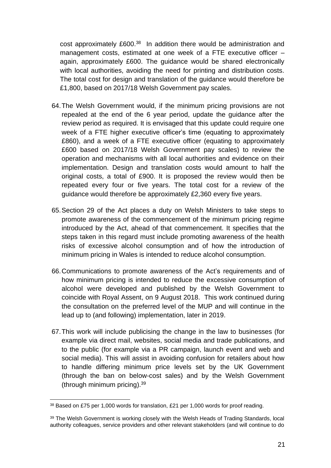cost approximately £600.<sup>38</sup> In addition there would be administration and management costs, estimated at one week of a FTE executive officer – again, approximately £600. The guidance would be shared electronically with local authorities, avoiding the need for printing and distribution costs. The total cost for design and translation of the guidance would therefore be £1,800, based on 2017/18 Welsh Government pay scales.

- 64.The Welsh Government would, if the minimum pricing provisions are not repealed at the end of the 6 year period, update the guidance after the review period as required. It is envisaged that this update could require one week of a FTE higher executive officer's time (equating to approximately £860), and a week of a FTE executive officer (equating to approximately £600 based on 2017/18 Welsh Government pay scales) to review the operation and mechanisms with all local authorities and evidence on their implementation. Design and translation costs would amount to half the original costs, a total of £900. It is proposed the review would then be repeated every four or five years. The total cost for a review of the guidance would therefore be approximately £2,360 every five years.
- 65.Section 29 of the Act places a duty on Welsh Ministers to take steps to promote awareness of the commencement of the minimum pricing regime introduced by the Act, ahead of that commencement. It specifies that the steps taken in this regard must include promoting awareness of the health risks of excessive alcohol consumption and of how the introduction of minimum pricing in Wales is intended to reduce alcohol consumption.
- 66.Communications to promote awareness of the Act's requirements and of how minimum pricing is intended to reduce the excessive consumption of alcohol were developed and published by the Welsh Government to coincide with Royal Assent, on 9 August 2018. This work continued during the consultation on the preferred level of the MUP and will continue in the lead up to (and following) implementation, later in 2019.
- 67.This work will include publicising the change in the law to businesses (for example via direct mail, websites, social media and trade publications, and to the public (for example via a PR campaign, launch event and web and social media). This will assist in avoiding confusion for retailers about how to handle differing minimum price levels set by the UK Government (through the ban on below-cost sales) and by the Welsh Government (through minimum pricing).<sup>39</sup>

<sup>38</sup> Based on £75 per 1,000 words for translation, £21 per 1,000 words for proof reading.

<sup>&</sup>lt;sup>39</sup> The Welsh Government is working closely with the Welsh Heads of Trading Standards, local authority colleagues, service providers and other relevant stakeholders (and will continue to do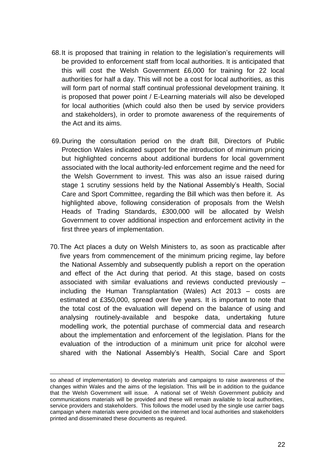- 68.It is proposed that training in relation to the legislation's requirements will be provided to enforcement staff from local authorities. It is anticipated that this will cost the Welsh Government £6,000 for training for 22 local authorities for half a day. This will not be a cost for local authorities, as this will form part of normal staff continual professional development training. It is proposed that power point / E-Learning materials will also be developed for local authorities (which could also then be used by service providers and stakeholders), in order to promote awareness of the requirements of the Act and its aims.
- 69.During the consultation period on the draft Bill, Directors of Public Protection Wales indicated support for the introduction of minimum pricing but highlighted concerns about additional burdens for local government associated with the local authority-led enforcement regime and the need for the Welsh Government to invest. This was also an issue raised during stage 1 scrutiny sessions held by the National Assembly's Health, Social Care and Sport Committee, regarding the Bill which was then before it. As highlighted above, following consideration of proposals from the Welsh Heads of Trading Standards, £300,000 will be allocated by Welsh Government to cover additional inspection and enforcement activity in the first three years of implementation.
- 70.The Act places a duty on Welsh Ministers to, as soon as practicable after five years from commencement of the minimum pricing regime, lay before the National Assembly and subsequently publish a report on the operation and effect of the Act during that period. At this stage, based on costs associated with similar evaluations and reviews conducted previously – including the Human Transplantation (Wales) Act 2013 – costs are estimated at £350,000, spread over five years. It is important to note that the total cost of the evaluation will depend on the balance of using and analysing routinely-available and bespoke data, undertaking future modelling work, the potential purchase of commercial data and research about the implementation and enforcement of the legislation. Plans for the evaluation of the introduction of a minimum unit price for alcohol were shared with the National Assembly's Health, Social Care and Sport

so ahead of implementation) to develop materials and campaigns to raise awareness of the changes within Wales and the aims of the legislation. This will be in addition to the guidance that the Welsh Government will issue. A national set of Welsh Government publicity and communications materials will be provided and these will remain available to local authorities, service providers and stakeholders. This follows the model used by the single use carrier bags campaign where materials were provided on the internet and local authorities and stakeholders printed and disseminated these documents as required.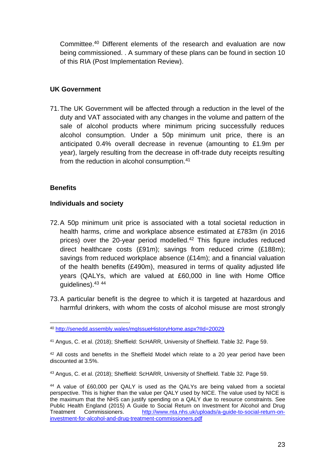Committee. <sup>40</sup> Different elements of the research and evaluation are now being commissioned. . A summary of these plans can be found in section 10 of this RIA (Post Implementation Review).

### **UK Government**

71.The UK Government will be affected through a reduction in the level of the duty and VAT associated with any changes in the volume and pattern of the sale of alcohol products where minimum pricing successfully reduces alcohol consumption. Under a 50p minimum unit price, there is an anticipated 0.4% overall decrease in revenue (amounting to £1.9m per year), largely resulting from the decrease in off-trade duty receipts resulting from the reduction in alcohol consumption.<sup>41</sup>

#### **Benefits**

#### **Individuals and society**

- 72.A 50p minimum unit price is associated with a total societal reduction in health harms, crime and workplace absence estimated at £783m (in 2016 prices) over the 20-year period modelled.<sup>42</sup> This figure includes reduced direct healthcare costs (£91m); savings from reduced crime (£188m); savings from reduced workplace absence (£14m); and a financial valuation of the health benefits (£490m), measured in terms of quality adjusted life years (QALYs, which are valued at £60,000 in line with Home Office guidelines).<sup>43</sup> <sup>44</sup>
- 73.A particular benefit is the degree to which it is targeted at hazardous and harmful drinkers, with whom the costs of alcohol misuse are most strongly

<sup>40</sup> <http://senedd.assembly.wales/mgIssueHistoryHome.aspx?IId=20029>

<sup>41</sup> Angus, C. et al. (2018); Sheffield: ScHARR, University of Sheffield. Table 32. Page 59.

<sup>&</sup>lt;sup>42</sup> All costs and benefits in the Sheffield Model which relate to a 20 year period have been discounted at 3.5%.

<sup>43</sup> Angus, C. et al. (2018); Sheffield: ScHARR, University of Sheffield. Table 32. Page 59.

<sup>44</sup> A value of £60,000 per QALY is used as the QALYs are being valued from a societal perspective. This is higher than the value per QALY used by NICE. The value used by NICE is the maximum that the NHS can justify spending on a QALY due to resource constraints. See Public Health England (2015) A Guide to Social Return on Investment for Alcohol and Drug<br>Treatment Commissioners. http://www.nta.nhs.uk/uploads/a-quide-to-social-return-on-Treatment Commissioners. [http://www.nta.nhs.uk/uploads/a-guide-to-social-return-on](http://www.nta.nhs.uk/uploads/a-guide-to-social-return-on-investment-for-alcohol-and-drug-treatment-commissioners.pdf)[investment-for-alcohol-and-drug-treatment-commissioners.pdf](http://www.nta.nhs.uk/uploads/a-guide-to-social-return-on-investment-for-alcohol-and-drug-treatment-commissioners.pdf)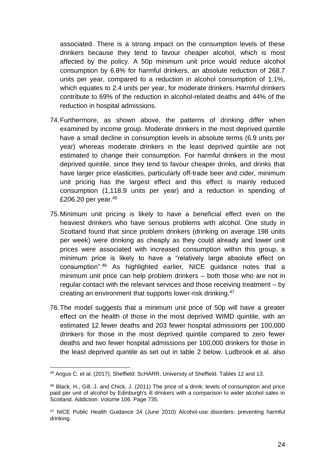associated. There is a strong impact on the consumption levels of these drinkers because they tend to favour cheaper alcohol, which is most affected by the policy. A 50p minimum unit price would reduce alcohol consumption by 6.8% for harmful drinkers, an absolute reduction of 268.7 units per year, compared to a reduction in alcohol consumption of 1.1%, which equates to 2.4 units per year, for moderate drinkers. Harmful drinkers contribute to 69% of the reduction in alcohol-related deaths and 44% of the reduction in hospital admissions.

- 74.Furthermore, as shown above, the patterns of drinking differ when examined by income group. Moderate drinkers in the most deprived quintile have a small decline in consumption levels in absolute terms (6.9 units per year) whereas moderate drinkers in the least deprived quintile are not estimated to change their consumption. For harmful drinkers in the most deprived quintile, since they tend to favour cheaper drinks, and drinks that have larger price elasticities, particularly off-trade beer and cider, minimum unit pricing has the largest effect and this effect is mainly reduced consumption (1,118.9 units per year) and a reduction in spending of £206.20 per year.<sup>45</sup>
- 75.Minimum unit pricing is likely to have a beneficial effect even on the heaviest drinkers who have serious problems with alcohol. One study in Scotland found that since problem drinkers (drinking on average 198 units per week) were drinking as cheaply as they could already and lower unit prices were associated with increased consumption within this group, a minimum price is likely to have a "relatively large absolute effect on consumption".<sup>46</sup> As highlighted earlier, NICE guidance notes that a minimum unit price can help problem drinkers – both those who are not in regular contact with the relevant services and those receiving treatment – by creating an environment that supports lower-risk drinking.<sup>47</sup>
- 76.The model suggests that a minimum unit price of 50p will have a greater effect on the health of those in the most deprived WIMD quintile, with an estimated 12 fewer deaths and 203 fewer hospital admissions per 100,000 drinkers for those in the most deprived quintile compared to zero fewer deaths and two fewer hospital admissions per 100,000 drinkers for those in the least deprived quintile as set out in table 2 below. Ludbrook et al. also

<sup>45</sup> Angus C. et al. (2017); Sheffield: ScHARR, University of Sheffield. Tables 12 and 13.

<sup>46</sup> Black, H., Gill, J. and Chick, J. (2011) The price of a drink: levels of consumption and price paid per unit of alcohol by Edinburgh's ill drinkers with a comparison to wider alcohol sales in Scotland. Addiction. Volume 106. Page 735.

<sup>47</sup> NICE Public Health Guidance 24 (June 2010) Alcohol-use disorders: preventing harmful drinking.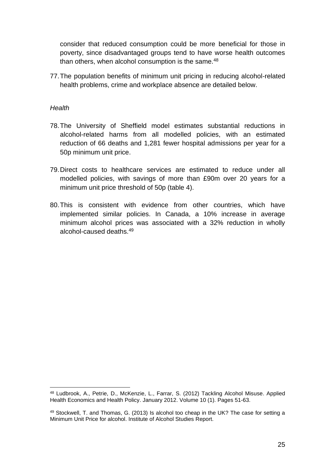consider that reduced consumption could be more beneficial for those in poverty, since disadvantaged groups tend to have worse health outcomes than others, when alcohol consumption is the same.<sup>48</sup>

77.The population benefits of minimum unit pricing in reducing alcohol-related health problems, crime and workplace absence are detailed below.

#### *Health*

- 78.The University of Sheffield model estimates substantial reductions in alcohol-related harms from all modelled policies, with an estimated reduction of 66 deaths and 1,281 fewer hospital admissions per year for a 50p minimum unit price.
- 79.Direct costs to healthcare services are estimated to reduce under all modelled policies, with savings of more than £90m over 20 years for a minimum unit price threshold of 50p (table 4).
- 80.This is consistent with evidence from other countries, which have implemented similar policies. In Canada, a 10% increase in average minimum alcohol prices was associated with a 32% reduction in wholly alcohol-caused deaths.<sup>49</sup>

<sup>48</sup> Ludbrook, A., Petrie, D., McKenzie, L., Farrar, S. (2012) Tackling Alcohol Misuse. Applied Health Economics and Health Policy. January 2012. Volume 10 (1). Pages 51-63.

<sup>49</sup> Stockwell, T. and Thomas, G. (2013) Is alcohol too cheap in the UK? The case for setting a Minimum Unit Price for alcohol. Institute of Alcohol Studies Report.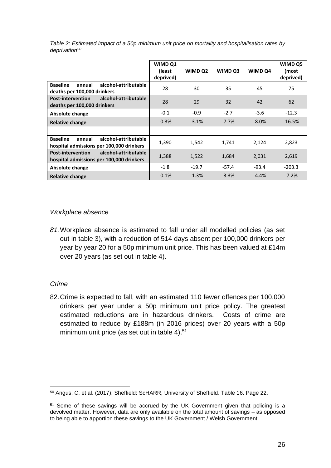| Table 2: Estimated impact of a 50p minimum unit price on mortality and hospitalisation rates by |  |  |  |
|-------------------------------------------------------------------------------------------------|--|--|--|
| deprivation <sup>50</sup>                                                                       |  |  |  |

|                                                                                               | WIMD Q1<br>(least<br>deprived) | WIMD Q2 | WIMD Q3 | WIMD Q4  | WIMD Q5<br>(most<br>deprived) |
|-----------------------------------------------------------------------------------------------|--------------------------------|---------|---------|----------|-------------------------------|
| <b>Baseline</b><br>alcohol-attributable<br>annual<br>deaths per 100,000 drinkers              | 28                             | 30      | 35      | 45       | 75                            |
| alcohol-attributable<br><b>Post-intervention</b><br>deaths per 100,000 drinkers               | 28                             | 29      | 32      | 42       | 62                            |
| Absolute change                                                                               | $-0.1$                         | $-0.9$  | $-2.7$  | $-3.6$   | $-12.3$                       |
| Relative change                                                                               | $-0.3%$                        | $-3.1%$ | $-7.7%$ | $-8.0\%$ | $-16.5%$                      |
|                                                                                               |                                |         |         |          |                               |
| <b>Baseline</b><br>alcohol-attributable<br>annual<br>hospital admissions per 100,000 drinkers | 1,390                          | 1,542   | 1,741   | 2,124    | 2,823                         |
| alcohol-attributable<br><b>Post-intervention</b><br>hospital admissions per 100,000 drinkers  | 1,388                          | 1,522   | 1,684   | 2,031    | 2,619                         |
| Absolute change                                                                               | $-1.8$                         | $-19.7$ | $-57.4$ | $-93.4$  | $-203.3$                      |
| Relative change                                                                               | $-0.1%$                        | $-1.3%$ | $-3.3%$ | $-4.4%$  | $-7.2%$                       |

#### *Workplace absence*

*81.*Workplace absence is estimated to fall under all modelled policies (as set out in table 3), with a reduction of 514 days absent per 100,000 drinkers per year by year 20 for a 50p minimum unit price. This has been valued at £14m over 20 years (as set out in table 4).

## *Crime*

82.Crime is expected to fall, with an estimated 110 fewer offences per 100,000 drinkers per year under a 50p minimum unit price policy. The greatest estimated reductions are in hazardous drinkers. Costs of crime are estimated to reduce by £188m (in 2016 prices) over 20 years with a 50p minimum unit price (as set out in table 4).<sup>51</sup>

<sup>50</sup> Angus, C. et al. (2017); Sheffield: ScHARR, University of Sheffield. Table 16. Page 22.

<sup>&</sup>lt;sup>51</sup> Some of these savings will be accrued by the UK Government given that policing is a devolved matter. However, data are only available on the total amount of savings – as opposed to being able to apportion these savings to the UK Government / Welsh Government.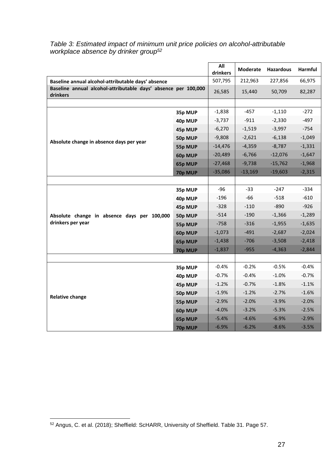|                                                                            |         | All<br>drinkers | Moderate  | <b>Hazardous</b> | Harmful  |
|----------------------------------------------------------------------------|---------|-----------------|-----------|------------------|----------|
| Baseline annual alcohol-attributable days' absence                         |         | 507,795         | 212,963   | 227,856          | 66,975   |
| Baseline annual alcohol-attributable days' absence per 100,000<br>drinkers |         | 26,585          | 15,440    | 50,709           | 82,287   |
|                                                                            |         |                 |           |                  |          |
|                                                                            | 35p MUP | $-1,838$        | $-457$    | $-1,110$         | $-272$   |
|                                                                            | 40p MUP | $-3,737$        | $-911$    | $-2,330$         | $-497$   |
|                                                                            | 45p MUP | $-6,270$        | $-1,519$  | $-3,997$         | $-754$   |
| Absolute change in absence days per year                                   | 50p MUP | $-9,808$        | $-2,621$  | $-6,138$         | $-1,049$ |
|                                                                            | 55p MUP | $-14,476$       | $-4,359$  | $-8,787$         | $-1,331$ |
|                                                                            | 60p MUP | $-20,489$       | $-6,766$  | $-12,076$        | $-1,647$ |
|                                                                            | 65p MUP | $-27,468$       | $-9,738$  | $-15,762$        | $-1,968$ |
|                                                                            | 70p MUP | $-35,086$       | $-13,169$ | $-19,603$        | $-2,315$ |
|                                                                            |         |                 |           |                  |          |
|                                                                            | 35p MUP | $-96$           | $-33$     | $-247$           | $-334$   |
|                                                                            | 40p MUP | $-196$          | $-66$     | $-518$           | $-610$   |
|                                                                            | 45p MUP | $-328$          | $-110$    | $-890$           | $-926$   |
| Absolute change in absence days per 100,000                                | 50p MUP | $-514$          | $-190$    | $-1,366$         | $-1,289$ |
| drinkers per year                                                          | 55p MUP | $-758$          | $-316$    | $-1,955$         | $-1,635$ |
|                                                                            | 60p MUP | $-1,073$        | $-491$    | $-2,687$         | $-2,024$ |
|                                                                            | 65p MUP | $-1,438$        | $-706$    | $-3,508$         | $-2,418$ |
|                                                                            | 70p MUP | $-1,837$        | $-955$    | $-4,363$         | $-2,844$ |
|                                                                            |         |                 |           |                  |          |
|                                                                            | 35p MUP | $-0.4%$         | $-0.2%$   | $-0.5%$          | $-0.4%$  |
|                                                                            | 40p MUP | $-0.7%$         | $-0.4%$   | $-1.0%$          | $-0.7%$  |
|                                                                            | 45p MUP | $-1.2%$         | $-0.7%$   | $-1.8%$          | $-1.1%$  |
| <b>Relative change</b>                                                     | 50p MUP | $-1.9%$         | $-1.2%$   | $-2.7%$          | $-1.6%$  |
|                                                                            | 55p MUP | $-2.9%$         | $-2.0%$   | $-3.9%$          | $-2.0%$  |
|                                                                            | 60p MUP | $-4.0%$         | $-3.2%$   | $-5.3%$          | $-2.5%$  |
|                                                                            | 65p MUP | $-5.4%$         | $-4.6%$   | $-6.9%$          | $-2.9%$  |
|                                                                            | 70p MUP | $-6.9%$         | $-6.2%$   | $-8.6%$          | $-3.5%$  |

#### *Table 3: Estimated impact of minimum unit price policies on alcohol-attributable workplace absence by drinker group<sup>52</sup>*

<sup>52</sup> Angus, C. et al. (2018); Sheffield: ScHARR, University of Sheffield. Table 31. Page 57.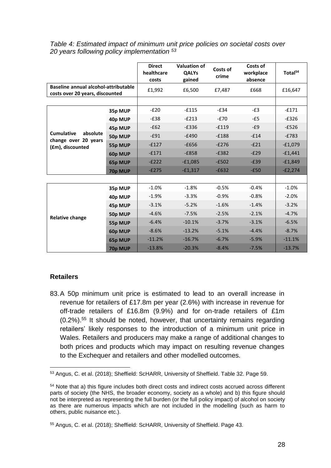|                                                                         |         | <b>Direct</b><br>healthcare<br>costs | Valuation of<br><b>QALYs</b><br>gained | Costs of<br>crime | Costs of<br>workplace<br>absence | Total <sup>54</sup> |
|-------------------------------------------------------------------------|---------|--------------------------------------|----------------------------------------|-------------------|----------------------------------|---------------------|
| Baseline annual alcohol-attributable<br>costs over 20 years, discounted |         | £1,992                               | £6,500                                 | £7,487            | £668                             | £16,647             |
|                                                                         |         |                                      |                                        |                   |                                  |                     |
|                                                                         | 35p MUP | $-E20$                               | $-£115$                                | $-E34$            | $-E3$                            | $-£171$             |
|                                                                         | 40p MUP | $-£38$                               | $-E213$                                | $-E70$            | $-E5$                            | $-E326$             |
|                                                                         | 45p MUP | $-E62$                               | $-E336$                                | $-£119$           | $-E9$                            | $-E526$             |
| <b>Cumulative</b><br>absolute                                           | 50p MUP | $-£91$                               | $-£490$                                | $-£188$           | $-£14$                           | $-E783$             |
| change over 20 years<br>(£m), discounted                                | 55p MUP | $-E127$                              | $-£656$                                | $-E276$           | $-E21$                           | $-£1,079$           |
|                                                                         | 60p MUP | $-E171$                              | $-E858$                                | $-E382$           | $-E29$                           | $-£1,441$           |
|                                                                         | 65p MUP | $-E222$                              | $-£1,085$                              | $-E502$           | $-E39$                           | $-£1,849$           |
|                                                                         | 70p MUP | $-E275$                              | $-£1,317$                              | $-E632$           | $-E50$                           | $-E2,274$           |
|                                                                         |         |                                      |                                        |                   |                                  |                     |
|                                                                         | 35p MUP | $-1.0%$                              | $-1.8%$                                | $-0.5%$           | $-0.4%$                          | $-1.0%$             |
|                                                                         | 40p MUP | $-1.9%$                              | $-3.3%$                                | $-0.9%$           | $-0.8%$                          | $-2.0%$             |
|                                                                         | 45p MUP | $-3.1%$                              | $-5.2%$                                | $-1.6%$           | $-1.4%$                          | $-3.2%$             |
|                                                                         | 50p MUP | $-4.6%$                              | $-7.5%$                                | $-2.5%$           | $-2.1%$                          | $-4.7%$             |
| <b>Relative change</b>                                                  | 55p MUP | $-6.4%$                              | $-10.1%$                               | $-3.7%$           | $-3.1%$                          | $-6.5%$             |
|                                                                         | 60p MUP | $-8.6%$                              | $-13.2%$                               | $-5.1%$           | $-4.4%$                          | $-8.7%$             |
|                                                                         | 65p MUP | $-11.2%$                             | $-16.7%$                               | $-6.7%$           | $-5.9%$                          | $-11.1%$            |
|                                                                         | 70p MUP | $-13.8%$                             | $-20.3%$                               | $-8.4%$           | $-7.5%$                          | $-13.7%$            |

*Table 4: Estimated impact of minimum unit price policies on societal costs over 20 years following policy implementation <sup>53</sup>*

## **Retailers**

83.A 50p minimum unit price is estimated to lead to an overall increase in revenue for retailers of £17.8m per year (2.6%) with increase in revenue for off-trade retailers of £16.8m (9.9%) and for on-trade retailers of £1m (0.2%).<sup>55</sup> It should be noted, however, that uncertainty remains regarding retailers' likely responses to the introduction of a minimum unit price in Wales. Retailers and producers may make a range of additional changes to both prices and products which may impact on resulting revenue changes to the Exchequer and retailers and other modelled outcomes.

<sup>53</sup> Angus, C. et al. (2018); Sheffield: ScHARR, University of Sheffield. Table 32. Page 59.

<sup>54</sup> Note that a) this figure includes both direct costs and indirect costs accrued across different parts of society (the NHS, the broader economy, society as a whole) and b) this figure should not be interpreted as representing the full burden (or the full policy impact) of alcohol on society as there are numerous impacts which are not included in the modelling (such as harm to others, public nuisance etc.).

<sup>55</sup> Angus, C. et al. (2018); Sheffield: ScHARR, University of Sheffield. Page 43.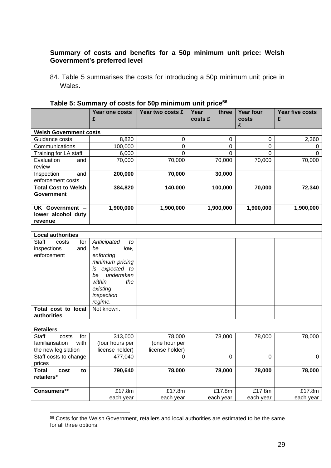## **Summary of costs and benefits for a 50p minimum unit price: Welsh Government's preferred level**

84. Table 5 summarises the costs for introducing a 50p minimum unit price in Wales.

|                                                  | Year one costs          | Year two costs £ | Year<br>three | <b>Year four</b> | Year five costs |  |  |  |
|--------------------------------------------------|-------------------------|------------------|---------------|------------------|-----------------|--|--|--|
|                                                  | £                       |                  | costs £       | costs<br>£       | £               |  |  |  |
| <b>Welsh Government costs</b>                    |                         |                  |               |                  |                 |  |  |  |
| Guidance costs                                   | 8,820                   | 0                | 0             | 0                | 2,360           |  |  |  |
| Communications                                   | 100,000                 | 0                | 0             | 0                | 0               |  |  |  |
| Training for LA staff                            | 6,000                   | 0                | $\Omega$      | $\Omega$         | 0               |  |  |  |
| Evaluation<br>and<br>review                      | 70,000                  | 70,000           | 70,000        | 70,000           | 70,000          |  |  |  |
| Inspection<br>and<br>enforcement costs           | 200,000                 | 70,000           | 30,000        |                  |                 |  |  |  |
| <b>Total Cost to Welsh</b><br>Government         | 384,820                 | 140,000          | 100,000       | 70,000           | 72,340          |  |  |  |
| UK Government -<br>lower alcohol duty<br>revenue | 1,900,000               | 1,900,000        | 1,900,000     | 1,900,000        | 1,900,000       |  |  |  |
|                                                  |                         |                  |               |                  |                 |  |  |  |
| <b>Local authorities</b>                         |                         |                  |               |                  |                 |  |  |  |
| <b>Staff</b><br>for<br>costs<br>and              | Anticipated<br>to<br>be |                  |               |                  |                 |  |  |  |
| inspections<br>enforcement                       | low,<br>enforcing       |                  |               |                  |                 |  |  |  |
|                                                  | minimum pricing         |                  |               |                  |                 |  |  |  |
|                                                  | expected to<br>is       |                  |               |                  |                 |  |  |  |
|                                                  | undertaken<br>be        |                  |               |                  |                 |  |  |  |
|                                                  | within<br>the           |                  |               |                  |                 |  |  |  |
|                                                  | existing                |                  |               |                  |                 |  |  |  |
|                                                  | inspection              |                  |               |                  |                 |  |  |  |
|                                                  | regime.                 |                  |               |                  |                 |  |  |  |
| Total cost to local                              | Not known.              |                  |               |                  |                 |  |  |  |
| authorities                                      |                         |                  |               |                  |                 |  |  |  |
|                                                  |                         |                  |               |                  |                 |  |  |  |
| <b>Retailers</b>                                 |                         |                  |               |                  |                 |  |  |  |
| <b>Staff</b><br>for<br>costs                     | 313,600                 | 78,000           | 78,000        | 78,000           | 78,000          |  |  |  |
| familiarisation<br>with                          | (four hours per         | (one hour per    |               |                  |                 |  |  |  |
| the new legislation                              | license holder)         | license holder)  |               |                  |                 |  |  |  |
| Staff costs to change                            | 477,040                 | 0                | 0             | 0                | 0               |  |  |  |
| prices                                           |                         |                  |               |                  |                 |  |  |  |
| <b>Total</b><br>cost<br>to<br>retailers*         | 790,640                 | 78,000           | 78,000        | 78,000           | 78,000          |  |  |  |
|                                                  |                         |                  |               |                  |                 |  |  |  |
| Consumers**                                      | £17.8m                  | £17.8m           | £17.8m        | £17.8m           | £17.8m          |  |  |  |
|                                                  | each year               | each year        | each year     | each year        | each year       |  |  |  |

## **Table 5: Summary of costs for 50p minimum unit price<sup>56</sup>**

<sup>56</sup> Costs for the Welsh Government, retailers and local authorities are estimated to be the same for all three options.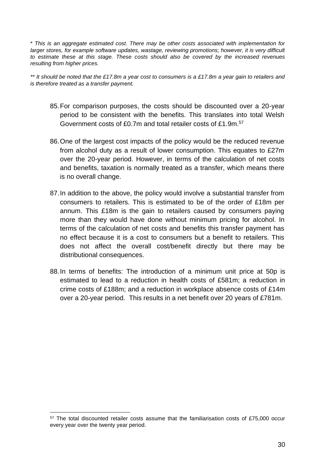\* *This is an aggregate estimated cost. There may be other costs associated with implementation for larger stores, for example software updates, wastage, reviewing promotions; however, it is very difficult to estimate these at this stage. These costs should also be covered by the increased revenues resulting from higher prices.* 

*\*\* It should be noted that the £17.8m a year cost to consumers is a £17.8m a year gain to retailers and is therefore treated as a transfer payment.* 

- 85.For comparison purposes, the costs should be discounted over a 20-year period to be consistent with the benefits. This translates into total Welsh Government costs of £0.7m and total retailer costs of £1.9m.<sup>57</sup>
- 86.One of the largest cost impacts of the policy would be the reduced revenue from alcohol duty as a result of lower consumption. This equates to £27m over the 20-year period. However, in terms of the calculation of net costs and benefits, taxation is normally treated as a transfer, which means there is no overall change.
- 87.In addition to the above, the policy would involve a substantial transfer from consumers to retailers. This is estimated to be of the order of £18m per annum. This £18m is the gain to retailers caused by consumers paying more than they would have done without minimum pricing for alcohol. In terms of the calculation of net costs and benefits this transfer payment has no effect because it is a cost to consumers but a benefit to retailers. This does not affect the overall cost/benefit directly but there may be distributional consequences.
- 88.In terms of benefits: The introduction of a minimum unit price at 50p is estimated to lead to a reduction in health costs of £581m; a reduction in crime costs of £188m; and a reduction in workplace absence costs of £14m over a 20-year period. This results in a net benefit over 20 years of £781m.

 $57$  The total discounted retailer costs assume that the familiarisation costs of £75,000 occur every year over the twenty year period.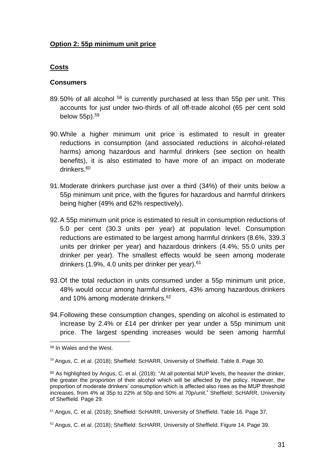### **Option 2: 55p minimum unit price**

#### **Costs**

#### **Consumers**

- 89.50% of all alcohol <sup>58</sup> is currently purchased at less than 55p per unit. This accounts for just under two-thirds of all off-trade alcohol (65 per cent sold below 55p).<sup>59</sup>
- 90.While a higher minimum unit price is estimated to result in greater reductions in consumption (and associated reductions in alcohol-related harms) among hazardous and harmful drinkers (see section on health benefits), it is also estimated to have more of an impact on moderate drinkers.<sup>60</sup>
- 91.Moderate drinkers purchase just over a third (34%) of their units below a 55p minimum unit price, with the figures for hazardous and harmful drinkers being higher (49% and 62% respectively).
- 92.A 55p minimum unit price is estimated to result in consumption reductions of 5.0 per cent (30.3 units per year) at population level. Consumption reductions are estimated to be largest among harmful drinkers (8.6%, 339.3 units per drinker per year) and hazardous drinkers (4.4%, 55.0 units per drinker per year). The smallest effects would be seen among moderate drinkers (1.9%, 4.0 units per drinker per year).<sup>61</sup>
- 93.Of the total reduction in units consumed under a 55p minimum unit price, 48% would occur among harmful drinkers, 43% among hazardous drinkers and 10% among moderate drinkers.<sup>62</sup>
- 94.Following these consumption changes, spending on alcohol is estimated to increase by 2.4% or £14 per drinker per year under a 55p minimum unit price. The largest spending increases would be seen among harmful

<sup>58</sup> In Wales and the West.

<sup>59</sup> Angus, C. et al. (2018); Sheffield: ScHARR, University of Sheffield. Table 8. Page 30.

<sup>60</sup> As highlighted by Angus, C. et al. (2018): "At all potential MUP levels, the heavier the drinker, the greater the proportion of their alcohol which will be affected by the policy. However, the proportion of moderate drinkers' consumption which is affected also rises as the MUP threshold increases, from 4% at 35p to 22% at 50p and 50% at 70p/unit." Sheffield: ScHARR, University of Sheffield. Page 29.

<sup>61</sup> Angus, C. et al. (2018); Sheffield: ScHARR, University of Sheffield. Table 16. Page 37.

 $62$  Angus, C. et al. (2018); Sheffield: ScHARR, University of Sheffield. Figure 14. Page 39.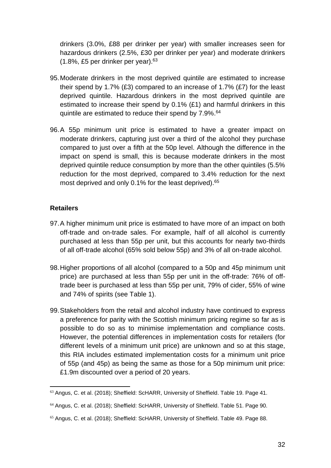drinkers (3.0%, £88 per drinker per year) with smaller increases seen for hazardous drinkers (2.5%, £30 per drinker per year) and moderate drinkers (1.8%, £5 per drinker per year). 63

- 95.Moderate drinkers in the most deprived quintile are estimated to increase their spend by 1.7% (£3) compared to an increase of 1.7% (£7) for the least deprived quintile. Hazardous drinkers in the most deprived quintile are estimated to increase their spend by 0.1% (£1) and harmful drinkers in this quintile are estimated to reduce their spend by 7.9%.<sup>64</sup>
- 96.A 55p minimum unit price is estimated to have a greater impact on moderate drinkers, capturing just over a third of the alcohol they purchase compared to just over a fifth at the 50p level. Although the difference in the impact on spend is small, this is because moderate drinkers in the most deprived quintile reduce consumption by more than the other quintiles (5.5% reduction for the most deprived, compared to 3.4% reduction for the next most deprived and only 0.1% for the least deprived).<sup>65</sup>

#### **Retailers**

- 97.A higher minimum unit price is estimated to have more of an impact on both off-trade and on-trade sales. For example, half of all alcohol is currently purchased at less than 55p per unit, but this accounts for nearly two-thirds of all off-trade alcohol (65% sold below 55p) and 3% of all on-trade alcohol.
- 98.Higher proportions of all alcohol (compared to a 50p and 45p minimum unit price) are purchased at less than 55p per unit in the off-trade: 76% of offtrade beer is purchased at less than 55p per unit, 79% of cider, 55% of wine and 74% of spirits (see Table 1).
- 99.Stakeholders from the retail and alcohol industry have continued to express a preference for parity with the Scottish minimum pricing regime so far as is possible to do so as to minimise implementation and compliance costs. However, the potential differences in implementation costs for retailers (for different levels of a minimum unit price) are unknown and so at this stage, this RIA includes estimated implementation costs for a minimum unit price of 55p (and 45p) as being the same as those for a 50p minimum unit price: £1.9m discounted over a period of 20 years.

<sup>&</sup>lt;sup>63</sup> Angus, C. et al. (2018); Sheffield: ScHARR, University of Sheffield. Table 19. Page 41.

<sup>64</sup> Angus, C. et al. (2018); Sheffield: ScHARR, University of Sheffield. Table 51. Page 90.

<sup>65</sup> Angus, C. et al. (2018); Sheffield: ScHARR, University of Sheffield. Table 49. Page 88.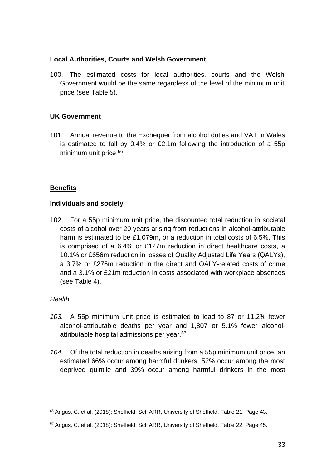#### **Local Authorities, Courts and Welsh Government**

100. The estimated costs for local authorities, courts and the Welsh Government would be the same regardless of the level of the minimum unit price (see Table 5).

## **UK Government**

101. Annual revenue to the Exchequer from alcohol duties and VAT in Wales is estimated to fall by 0.4% or £2.1m following the introduction of a 55p minimum unit price.<sup>66</sup>

## **Benefits**

#### **Individuals and society**

102. For a 55p minimum unit price, the discounted total reduction in societal costs of alcohol over 20 years arising from reductions in alcohol-attributable harm is estimated to be £1,079m, or a reduction in total costs of 6.5%. This is comprised of a 6.4% or £127m reduction in direct healthcare costs, a 10.1% or £656m reduction in losses of Quality Adjusted Life Years (QALYs), a 3.7% or £276m reduction in the direct and QALY-related costs of crime and a 3.1% or £21m reduction in costs associated with workplace absences (see Table 4).

## *Health*

- *103.* A 55p minimum unit price is estimated to lead to 87 or 11.2% fewer alcohol-attributable deaths per year and 1,807 or 5.1% fewer alcoholattributable hospital admissions per year.<sup>67</sup>
- *104.* Of the total reduction in deaths arising from a 55p minimum unit price, an estimated 66% occur among harmful drinkers, 52% occur among the most deprived quintile and 39% occur among harmful drinkers in the most

<sup>66</sup> Angus, C. et al. (2018); Sheffield: ScHARR, University of Sheffield. Table 21. Page 43.

<sup>67</sup> Angus, C. et al. (2018); Sheffield: ScHARR, University of Sheffield. Table 22. Page 45.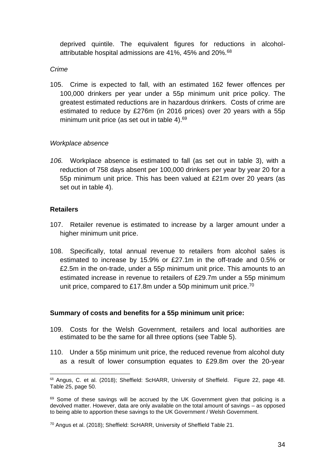deprived quintile. The equivalent figures for reductions in alcoholattributable hospital admissions are 41%, 45% and 20%.<sup>68</sup>

#### *Crime*

105. Crime is expected to fall, with an estimated 162 fewer offences per 100,000 drinkers per year under a 55p minimum unit price policy. The greatest estimated reductions are in hazardous drinkers. Costs of crime are estimated to reduce by £276m (in 2016 prices) over 20 years with a 55p minimum unit price (as set out in table 4).<sup>69</sup>

#### *Workplace absence*

*106.* Workplace absence is estimated to fall (as set out in table 3), with a reduction of 758 days absent per 100,000 drinkers per year by year 20 for a 55p minimum unit price. This has been valued at £21m over 20 years (as set out in table 4).

#### **Retailers**

- 107. Retailer revenue is estimated to increase by a larger amount under a higher minimum unit price.
- 108. Specifically, total annual revenue to retailers from alcohol sales is estimated to increase by 15.9% or £27.1m in the off-trade and 0.5% or £2.5m in the on-trade, under a 55p minimum unit price. This amounts to an estimated increase in revenue to retailers of £29.7m under a 55p minimum unit price, compared to £17.8m under a 50p minimum unit price.<sup>70</sup>

#### **Summary of costs and benefits for a 55p minimum unit price:**

- 109. Costs for the Welsh Government, retailers and local authorities are estimated to be the same for all three options (see Table 5).
- 110. Under a 55p minimum unit price, the reduced revenue from alcohol duty as a result of lower consumption equates to £29.8m over the 20-year

<sup>&</sup>lt;sup>68</sup> Angus, C. et al. (2018); Sheffield: ScHARR, University of Sheffield. Figure 22, page 48. Table 25, page 50.

 $69$  Some of these savings will be accrued by the UK Government given that policing is a devolved matter. However, data are only available on the total amount of savings – as opposed to being able to apportion these savings to the UK Government / Welsh Government.

<sup>70</sup> Angus et al. (2018); Sheffield: ScHARR, University of Sheffield Table 21.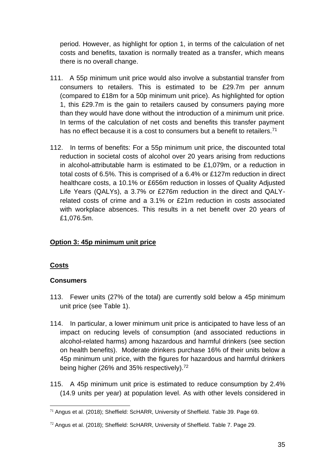period. However, as highlight for option 1, in terms of the calculation of net costs and benefits, taxation is normally treated as a transfer, which means there is no overall change.

- 111. A 55p minimum unit price would also involve a substantial transfer from consumers to retailers. This is estimated to be £29.7m per annum (compared to £18m for a 50p minimum unit price). As highlighted for option 1, this £29.7m is the gain to retailers caused by consumers paying more than they would have done without the introduction of a minimum unit price. In terms of the calculation of net costs and benefits this transfer payment has no effect because it is a cost to consumers but a benefit to retailers.<sup>71</sup>
- 112. In terms of benefits: For a 55p minimum unit price, the discounted total reduction in societal costs of alcohol over 20 years arising from reductions in alcohol-attributable harm is estimated to be £1,079m, or a reduction in total costs of 6.5%. This is comprised of a 6.4% or £127m reduction in direct healthcare costs, a 10.1% or £656m reduction in losses of Quality Adjusted Life Years (QALYs), a 3.7% or £276m reduction in the direct and QALYrelated costs of crime and a 3.1% or £21m reduction in costs associated with workplace absences. This results in a net benefit over 20 years of £1,076.5m.

# **Option 3: 45p minimum unit price**

## **Costs**

## **Consumers**

- 113. Fewer units (27% of the total) are currently sold below a 45p minimum unit price (see Table 1).
- 114. In particular, a lower minimum unit price is anticipated to have less of an impact on reducing levels of consumption (and associated reductions in alcohol-related harms) among hazardous and harmful drinkers (see section on health benefits). Moderate drinkers purchase 16% of their units below a 45p minimum unit price, with the figures for hazardous and harmful drinkers being higher (26% and 35% respectively).<sup>72</sup>
- 115. A 45p minimum unit price is estimated to reduce consumption by 2.4% (14.9 units per year) at population level. As with other levels considered in

 $71$  Angus et al. (2018); Sheffield: ScHARR, University of Sheffield, Table 39, Page 69.

 $72$  Angus et al. (2018); Sheffield: ScHARR, University of Sheffield. Table 7. Page 29.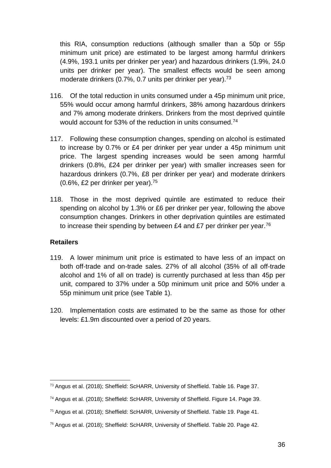this RIA, consumption reductions (although smaller than a 50p or 55p minimum unit price) are estimated to be largest among harmful drinkers (4.9%, 193.1 units per drinker per year) and hazardous drinkers (1.9%, 24.0 units per drinker per year). The smallest effects would be seen among moderate drinkers (0.7%, 0.7 units per drinker per year).<sup>73</sup>

- 116. Of the total reduction in units consumed under a 45p minimum unit price, 55% would occur among harmful drinkers, 38% among hazardous drinkers and 7% among moderate drinkers. Drinkers from the most deprived quintile would account for 53% of the reduction in units consumed.<sup>74</sup>
- 117. Following these consumption changes, spending on alcohol is estimated to increase by 0.7% or £4 per drinker per year under a 45p minimum unit price. The largest spending increases would be seen among harmful drinkers (0.8%, £24 per drinker per year) with smaller increases seen for hazardous drinkers (0.7%, £8 per drinker per year) and moderate drinkers (0.6%, £2 per drinker per year).<sup>75</sup>
- 118. Those in the most deprived quintile are estimated to reduce their spending on alcohol by 1.3% or £6 per drinker per year, following the above consumption changes. Drinkers in other deprivation quintiles are estimated to increase their spending by between £4 and £7 per drinker per year.<sup>76</sup>

## **Retailers**

- 119. A lower minimum unit price is estimated to have less of an impact on both off-trade and on-trade sales. 27% of all alcohol (35% of all off-trade alcohol and 1% of all on trade) is currently purchased at less than 45p per unit, compared to 37% under a 50p minimum unit price and 50% under a 55p minimum unit price (see Table 1).
- 120. Implementation costs are estimated to be the same as those for other levels: £1.9m discounted over a period of 20 years.

<sup>73</sup> Angus et al. (2018); Sheffield: ScHARR, University of Sheffield. Table 16. Page 37.

<sup>74</sup> Angus et al. (2018); Sheffield: ScHARR, University of Sheffield. Figure 14. Page 39.

<sup>75</sup> Angus et al. (2018); Sheffield: ScHARR, University of Sheffield. Table 19. Page 41.

 $76$  Angus et al. (2018); Sheffield: ScHARR, University of Sheffield. Table 20. Page 42.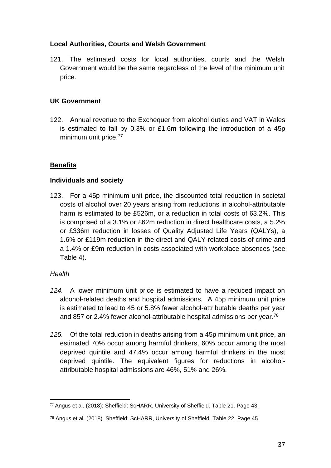## **Local Authorities, Courts and Welsh Government**

121. The estimated costs for local authorities, courts and the Welsh Government would be the same regardless of the level of the minimum unit price.

## **UK Government**

122. Annual revenue to the Exchequer from alcohol duties and VAT in Wales is estimated to fall by 0.3% or £1.6m following the introduction of a 45p minimum unit price.<sup>77</sup>

# **Benefits**

## **Individuals and society**

123. For a 45p minimum unit price, the discounted total reduction in societal costs of alcohol over 20 years arising from reductions in alcohol-attributable harm is estimated to be £526m, or a reduction in total costs of 63.2%. This is comprised of a 3.1% or £62m reduction in direct healthcare costs, a 5.2% or £336m reduction in losses of Quality Adjusted Life Years (QALYs), a 1.6% or £119m reduction in the direct and QALY-related costs of crime and a 1.4% or £9m reduction in costs associated with workplace absences (see Table 4).

## *Health*

- *124.* A lower minimum unit price is estimated to have a reduced impact on alcohol-related deaths and hospital admissions. A 45p minimum unit price is estimated to lead to 45 or 5.8% fewer alcohol-attributable deaths per year and 857 or 2.4% fewer alcohol-attributable hospital admissions per year.<sup>78</sup>
- *125.* Of the total reduction in deaths arising from a 45p minimum unit price, an estimated 70% occur among harmful drinkers, 60% occur among the most deprived quintile and 47.4% occur among harmful drinkers in the most deprived quintile. The equivalent figures for reductions in alcoholattributable hospital admissions are 46%, 51% and 26%.

 $77$  Angus et al. (2018); Sheffield: ScHARR, University of Sheffield. Table 21. Page 43.

<sup>78</sup> Angus et al. (2018). Sheffield: ScHARR, University of Sheffield. Table 22. Page 45.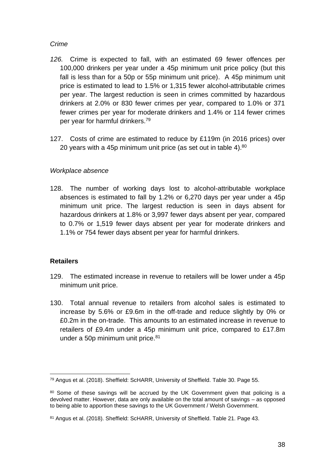### *Crime*

- *126.* Crime is expected to fall, with an estimated 69 fewer offences per 100,000 drinkers per year under a 45p minimum unit price policy (but this fall is less than for a 50p or 55p minimum unit price). A 45p minimum unit price is estimated to lead to 1.5% or 1,315 fewer alcohol-attributable crimes per year. The largest reduction is seen in crimes committed by hazardous drinkers at 2.0% or 830 fewer crimes per year, compared to 1.0% or 371 fewer crimes per year for moderate drinkers and 1.4% or 114 fewer crimes per year for harmful drinkers.<sup>79</sup>
- 127. Costs of crime are estimated to reduce by £119m (in 2016 prices) over 20 years with a 45p minimum unit price (as set out in table 4).<sup>80</sup>

## *Workplace absence*

128. The number of working days lost to alcohol-attributable workplace absences is estimated to fall by 1.2% or 6,270 days per year under a 45p minimum unit price. The largest reduction is seen in days absent for hazardous drinkers at 1.8% or 3,997 fewer days absent per year, compared to 0.7% or 1,519 fewer days absent per year for moderate drinkers and 1.1% or 754 fewer days absent per year for harmful drinkers.

## **Retailers**

- 129. The estimated increase in revenue to retailers will be lower under a 45p minimum unit price.
- 130. Total annual revenue to retailers from alcohol sales is estimated to increase by 5.6% or £9.6m in the off-trade and reduce slightly by 0% or £0.2m in the on-trade. This amounts to an estimated increase in revenue to retailers of £9.4m under a 45p minimum unit price, compared to £17.8m under a 50p minimum unit price.<sup>81</sup>

<sup>79</sup> Angus et al. (2018). Sheffield: ScHARR, University of Sheffield. Table 30. Page 55.

<sup>80</sup> Some of these savings will be accrued by the UK Government given that policing is a devolved matter. However, data are only available on the total amount of savings – as opposed to being able to apportion these savings to the UK Government / Welsh Government.

<sup>81</sup> Angus et al. (2018). Sheffield: ScHARR, University of Sheffield. Table 21. Page 43.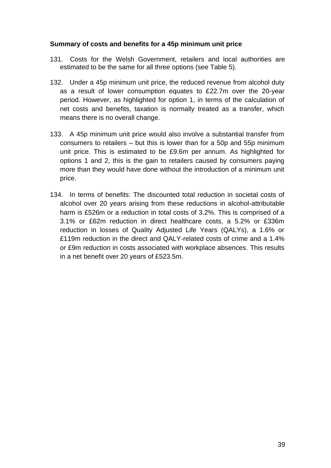#### **Summary of costs and benefits for a 45p minimum unit price**

- 131. Costs for the Welsh Government, retailers and local authorities are estimated to be the same for all three options (see Table 5).
- 132. Under a 45p minimum unit price, the reduced revenue from alcohol duty as a result of lower consumption equates to £22.7m over the 20-year period. However, as highlighted for option 1, in terms of the calculation of net costs and benefits, taxation is normally treated as a transfer, which means there is no overall change.
- 133. A 45p minimum unit price would also involve a substantial transfer from consumers to retailers – but this is lower than for a 50p and 55p minimum unit price. This is estimated to be £9.6m per annum. As highlighted for options 1 and 2, this is the gain to retailers caused by consumers paying more than they would have done without the introduction of a minimum unit price.
- 134. In terms of benefits: The discounted total reduction in societal costs of alcohol over 20 years arising from these reductions in alcohol-attributable harm is £526m or a reduction in total costs of 3.2%. This is comprised of a 3.1% or £62m reduction in direct healthcare costs, a 5.2% or £336m reduction in losses of Quality Adjusted Life Years (QALYs), a 1.6% or £119m reduction in the direct and QALY-related costs of crime and a 1.4% or £9m reduction in costs associated with workplace absences. This results in a net benefit over 20 years of £523.5m.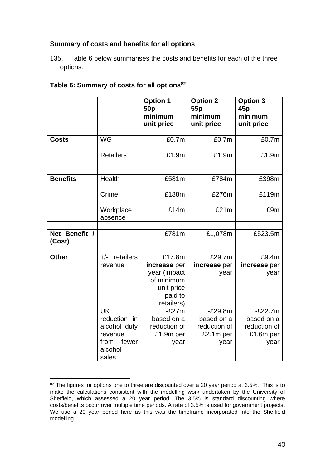## **Summary of costs and benefits for all options**

135. Table 6 below summarises the costs and benefits for each of the three options.

|                         |                                                                                           | <b>Option 1</b><br>50 <sub>p</sub><br>minimum<br>unit price                                 | <b>Option 2</b><br>55p<br>minimum<br>unit price              | <b>Option 3</b><br>45p<br>minimum<br>unit price              |
|-------------------------|-------------------------------------------------------------------------------------------|---------------------------------------------------------------------------------------------|--------------------------------------------------------------|--------------------------------------------------------------|
| <b>Costs</b>            | <b>WG</b>                                                                                 | £0.7m                                                                                       | £0.7m                                                        | £0.7m                                                        |
|                         | <b>Retailers</b>                                                                          | £1.9m                                                                                       | £1.9m                                                        | £1.9m                                                        |
| <b>Benefits</b>         | Health                                                                                    | £581m                                                                                       | £784m                                                        | £398m                                                        |
|                         | Crime                                                                                     | £188m                                                                                       | £276m                                                        | £119m                                                        |
|                         | Workplace<br>absence                                                                      | £14m                                                                                        | £21m                                                         | £9m                                                          |
| Net Benefit /<br>(Cost) |                                                                                           | £781m                                                                                       | £1,078m                                                      | £523.5m                                                      |
| <b>Other</b>            | $+/-$ retailers<br>revenue                                                                | £17.8m<br>increase per<br>year (impact<br>of minimum<br>unit price<br>paid to<br>retailers) | £29.7m<br>increase per<br>year                               | £9.4m<br>increase per<br>year                                |
|                         | <b>UK</b><br>reduction in<br>alcohol duty<br>revenue<br>from<br>fewer<br>alcohol<br>sales | $-E27m$<br>based on a<br>reduction of<br>£1.9m per<br>year                                  | $-E29.8m$<br>based on a<br>reduction of<br>£2.1m per<br>year | $-E22.7m$<br>based on a<br>reduction of<br>£1.6m per<br>year |

## **Table 6: Summary of costs for all options<sup>82</sup>**

<sup>82</sup> The figures for options one to three are discounted over a 20 year period at 3.5%. This is to make the calculations consistent with the modelling work undertaken by the University of Sheffield, which assessed a 20 year period. The 3.5% is standard discounting where costs/benefits occur over multiple time periods. A rate of 3.5% is used for government projects. We use a 20 year period here as this was the timeframe incorporated into the Sheffield modelling.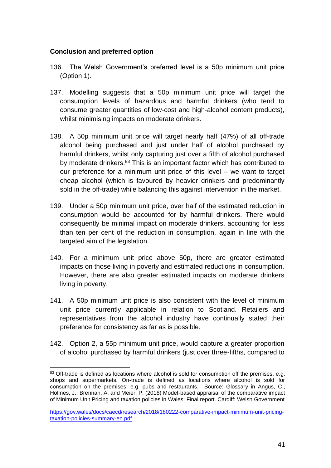#### **Conclusion and preferred option**

- 136. The Welsh Government's preferred level is a 50p minimum unit price (Option 1).
- 137. Modelling suggests that a 50p minimum unit price will target the consumption levels of hazardous and harmful drinkers (who tend to consume greater quantities of low-cost and high-alcohol content products), whilst minimising impacts on moderate drinkers.
- 138. A 50p minimum unit price will target nearly half (47%) of all off-trade alcohol being purchased and just under half of alcohol purchased by harmful drinkers, whilst only capturing just over a fifth of alcohol purchased by moderate drinkers.<sup>83</sup> This is an important factor which has contributed to our preference for a minimum unit price of this level – we want to target cheap alcohol (which is favoured by heavier drinkers and predominantly sold in the off-trade) while balancing this against intervention in the market.
- 139. Under a 50p minimum unit price, over half of the estimated reduction in consumption would be accounted for by harmful drinkers. There would consequently be minimal impact on moderate drinkers, accounting for less than ten per cent of the reduction in consumption, again in line with the targeted aim of the legislation.
- 140. For a minimum unit price above 50p, there are greater estimated impacts on those living in poverty and estimated reductions in consumption. However, there are also greater estimated impacts on moderate drinkers living in poverty.
- 141. A 50p minimum unit price is also consistent with the level of minimum unit price currently applicable in relation to Scotland. Retailers and representatives from the alcohol industry have continually stated their preference for consistency as far as is possible.
- 142. Option 2, a 55p minimum unit price, would capture a greater proportion of alcohol purchased by harmful drinkers (just over three-fifths, compared to

<sup>83</sup> Off-trade is defined as locations where alcohol is sold for consumption off the premises, e.g. shops and supermarkets. On-trade is defined as locations where alcohol is sold for consumption on the premises, e.g. pubs and restaurants. Source: Glossary in Angus, C., Holmes, J., Brennan, A. and Meier, P. (2018) Model-based appraisal of the comparative impact of Minimum Unit Pricing and taxation policies in Wales: Final report. Cardiff: Welsh Government

[https://gov.wales/docs/caecd/research/2018/180222-comparative-impact-minimum-unit-pricing](https://gov.wales/docs/caecd/research/2018/180222-comparative-impact-minimum-unit-pricing-taxation-policies-summary-en.pdf)[taxation-policies-summary-en.pdf](https://gov.wales/docs/caecd/research/2018/180222-comparative-impact-minimum-unit-pricing-taxation-policies-summary-en.pdf)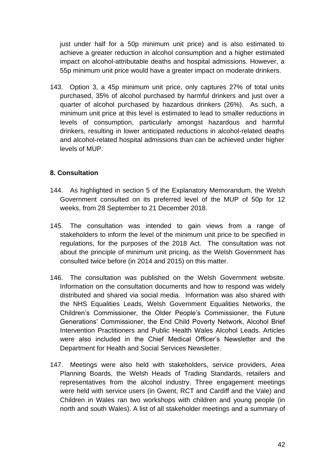just under half for a 50p minimum unit price) and is also estimated to achieve a greater reduction in alcohol consumption and a higher estimated impact on alcohol-attributable deaths and hospital admissions. However, a 55p minimum unit price would have a greater impact on moderate drinkers.

143. Option 3, a 45p minimum unit price, only captures 27% of total units purchased, 35% of alcohol purchased by harmful drinkers and just over a quarter of alcohol purchased by hazardous drinkers (26%). As such, a minimum unit price at this level is estimated to lead to smaller reductions in levels of consumption, particularly amongst hazardous and harmful drinkers, resulting in lower anticipated reductions in alcohol-related deaths and alcohol-related hospital admissions than can be achieved under higher levels of MUP.

## **8. Consultation**

- 144. As highlighted in section 5 of the Explanatory Memorandum, the Welsh Government consulted on its preferred level of the MUP of 50p for 12 weeks, from 28 September to 21 December 2018.
- 145. The consultation was intended to gain views from a range of stakeholders to inform the level of the minimum unit price to be specified in regulations, for the purposes of the 2018 Act. The consultation was not about the principle of minimum unit pricing, as the Welsh Government has consulted twice before (in 2014 and 2015) on this matter.
- 146. The consultation was published on the Welsh Government website. Information on the consultation documents and how to respond was widely distributed and shared via social media. Information was also shared with the NHS Equalities Leads, Welsh Government Equalities Networks, the Children's Commissioner, the Older People's Commissioner, the Future Generations' Commissioner, the End Child Poverty Network, Alcohol Brief Intervention Practitioners and Public Health Wales Alcohol Leads. Articles were also included in the Chief Medical Officer's Newsletter and the Department for Health and Social Services Newsletter.
- 147. Meetings were also held with stakeholders, service providers, Area Planning Boards, the Welsh Heads of Trading Standards, retailers and representatives from the alcohol industry. Three engagement meetings were held with service users (in Gwent, RCT and Cardiff and the Vale) and Children in Wales ran two workshops with children and young people (in north and south Wales). A list of all stakeholder meetings and a summary of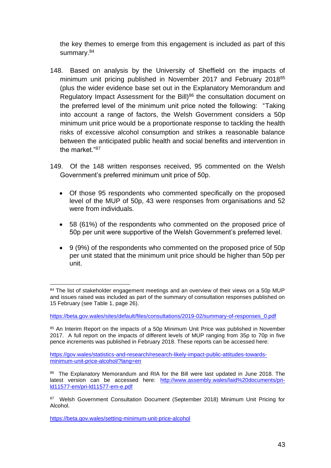the key themes to emerge from this engagement is included as part of this summary.<sup>84</sup>

- 148. Based on analysis by the University of Sheffield on the impacts of minimum unit pricing published in November 2017 and February 2018<sup>85</sup> (plus the wider evidence base set out in the Explanatory Memorandum and Regulatory Impact Assessment for the Bill)<sup>86</sup> the consultation document on the preferred level of the minimum unit price noted the following: "Taking into account a range of factors, the Welsh Government considers a 50p minimum unit price would be a proportionate response to tackling the health risks of excessive alcohol consumption and strikes a reasonable balance between the anticipated public health and social benefits and intervention in the market "87
- 149. Of the 148 written responses received, 95 commented on the Welsh Government's preferred minimum unit price of 50p.
	- Of those 95 respondents who commented specifically on the proposed level of the MUP of 50p, 43 were responses from organisations and 52 were from individuals.
	- 58 (61%) of the respondents who commented on the proposed price of 50p per unit were supportive of the Welsh Government's preferred level.
	- 9 (9%) of the respondents who commented on the proposed price of 50p per unit stated that the minimum unit price should be higher than 50p per unit.

85 An Interim Report on the impacts of a 50p Minimum Unit Price was published in November 2017. A full report on the impacts of different levels of MUP ranging from 35p to 70p in five pence increments was published in February 2018. These reports can be accessed here:

[https://gov.wales/statistics-and-research/research-likely-impact-public-attitudes-towards](https://gov.wales/statistics-and-research/research-likely-impact-public-attitudes-towards-minimum-unit-price-alcohol/?lang=en)[minimum-unit-price-alcohol/?lang=en](https://gov.wales/statistics-and-research/research-likely-impact-public-attitudes-towards-minimum-unit-price-alcohol/?lang=en)

<https://beta.gov.wales/setting-minimum-unit-price-alcohol>

<sup>84</sup> The list of stakeholder engagement meetings and an overview of their views on a 50p MUP and issues raised was included as part of the summary of consultation responses published on 15 February (see Table 1, page 26).

[https://beta.gov.wales/sites/default/files/consultations/2019-02/summary-of-responses\\_0.pdf](https://beta.gov.wales/sites/default/files/consultations/2019-02/summary-of-responses_0.pdf)

<sup>&</sup>lt;sup>86</sup> The Explanatory Memorandum and RIA for the Bill were last updated in June 2018. The latest version can be accessed here: [http://www.assembly.wales/laid%20documents/pri](http://www.assembly.wales/laid%20documents/pri-ld11577-em/pri-ld11577-em-e.pdf)[ld11577-em/pri-ld11577-em-e.pdf](http://www.assembly.wales/laid%20documents/pri-ld11577-em/pri-ld11577-em-e.pdf)

<sup>87</sup> Welsh Government Consultation Document (September 2018) Minimum Unit Pricing for Alcohol.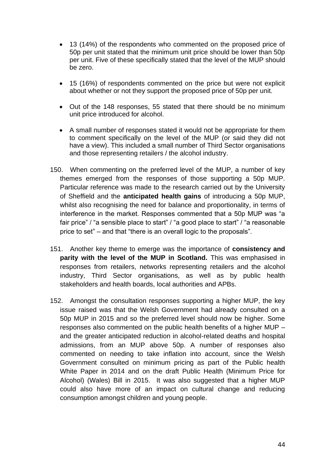- 13 (14%) of the respondents who commented on the proposed price of 50p per unit stated that the minimum unit price should be lower than 50p per unit. Five of these specifically stated that the level of the MUP should be zero.
- 15 (16%) of respondents commented on the price but were not explicit about whether or not they support the proposed price of 50p per unit.
- Out of the 148 responses, 55 stated that there should be no minimum unit price introduced for alcohol.
- A small number of responses stated it would not be appropriate for them to comment specifically on the level of the MUP (or said they did not have a view). This included a small number of Third Sector organisations and those representing retailers / the alcohol industry.
- 150. When commenting on the preferred level of the MUP, a number of key themes emerged from the responses of those supporting a 50p MUP. Particular reference was made to the research carried out by the University of Sheffield and the **anticipated health gains** of introducing a 50p MUP, whilst also recognising the need for balance and proportionality, in terms of interference in the market. Responses commented that a 50p MUP was "a fair price" / "a sensible place to start" / "a good place to start" / "a reasonable price to set" – and that "there is an overall logic to the proposals".
- 151. Another key theme to emerge was the importance of **consistency and parity with the level of the MUP in Scotland.** This was emphasised in responses from retailers, networks representing retailers and the alcohol industry, Third Sector organisations, as well as by public health stakeholders and health boards, local authorities and APBs.
- 152. Amongst the consultation responses supporting a higher MUP, the key issue raised was that the Welsh Government had already consulted on a 50p MUP in 2015 and so the preferred level should now be higher. Some responses also commented on the public health benefits of a higher MUP – and the greater anticipated reduction in alcohol-related deaths and hospital admissions, from an MUP above 50p. A number of responses also commented on needing to take inflation into account, since the Welsh Government consulted on minimum pricing as part of the Public health White Paper in 2014 and on the draft Public Health (Minimum Price for Alcohol) (Wales) Bill in 2015. It was also suggested that a higher MUP could also have more of an impact on cultural change and reducing consumption amongst children and young people.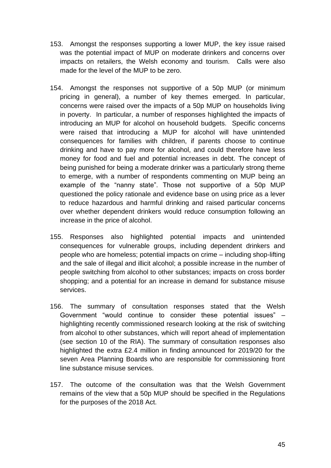- 153. Amongst the responses supporting a lower MUP, the key issue raised was the potential impact of MUP on moderate drinkers and concerns over impacts on retailers, the Welsh economy and tourism. Calls were also made for the level of the MUP to be zero.
- 154. Amongst the responses not supportive of a 50p MUP (or minimum pricing in general), a number of key themes emerged. In particular, concerns were raised over the impacts of a 50p MUP on households living in poverty. In particular, a number of responses highlighted the impacts of introducing an MUP for alcohol on household budgets. Specific concerns were raised that introducing a MUP for alcohol will have unintended consequences for families with children, if parents choose to continue drinking and have to pay more for alcohol, and could therefore have less money for food and fuel and potential increases in debt. The concept of being punished for being a moderate drinker was a particularly strong theme to emerge, with a number of respondents commenting on MUP being an example of the "nanny state". Those not supportive of a 50p MUP questioned the policy rationale and evidence base on using price as a lever to reduce hazardous and harmful drinking and raised particular concerns over whether dependent drinkers would reduce consumption following an increase in the price of alcohol.
- 155. Responses also highlighted potential impacts and unintended consequences for vulnerable groups, including dependent drinkers and people who are homeless; potential impacts on crime – including shop-lifting and the sale of illegal and illicit alcohol; a possible increase in the number of people switching from alcohol to other substances; impacts on cross border shopping; and a potential for an increase in demand for substance misuse services.
- 156. The summary of consultation responses stated that the Welsh Government "would continue to consider these potential issues" – highlighting recently commissioned research looking at the risk of switching from alcohol to other substances, which will report ahead of implementation (see section 10 of the RIA). The summary of consultation responses also highlighted the extra £2.4 million in finding announced for 2019/20 for the seven Area Planning Boards who are responsible for commissioning front line substance misuse services.
- 157. The outcome of the consultation was that the Welsh Government remains of the view that a 50p MUP should be specified in the Regulations for the purposes of the 2018 Act.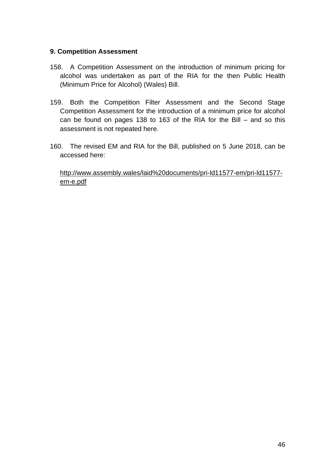### **9. Competition Assessment**

- 158. A Competition Assessment on the introduction of minimum pricing for alcohol was undertaken as part of the RIA for the then Public Health (Minimum Price for Alcohol) (Wales) Bill.
- 159. Both the Competition Filter Assessment and the Second Stage Competition Assessment for the introduction of a minimum price for alcohol can be found on pages 138 to 163 of the RIA for the Bill – and so this assessment is not repeated here.
- 160. The revised EM and RIA for the Bill, published on 5 June 2018, can be accessed here:

[http://www.assembly.wales/laid%20documents/pri-ld11577-em/pri-ld11577](http://www.assembly.wales/laid%20documents/pri-ld11577-em/pri-ld11577-em-e.pdf) [em-e.pdf](http://www.assembly.wales/laid%20documents/pri-ld11577-em/pri-ld11577-em-e.pdf)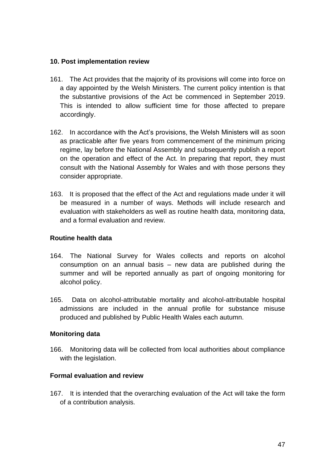#### **10. Post implementation review**

- 161. The Act provides that the majority of its provisions will come into force on a day appointed by the Welsh Ministers. The current policy intention is that the substantive provisions of the Act be commenced in September 2019. This is intended to allow sufficient time for those affected to prepare accordingly.
- 162. In accordance with the Act's provisions, the Welsh Ministers will as soon as practicable after five years from commencement of the minimum pricing regime, lay before the National Assembly and subsequently publish a report on the operation and effect of the Act. In preparing that report, they must consult with the National Assembly for Wales and with those persons they consider appropriate.
- 163. It is proposed that the effect of the Act and regulations made under it will be measured in a number of ways. Methods will include research and evaluation with stakeholders as well as routine health data, monitoring data, and a formal evaluation and review.

## **Routine health data**

- 164. The National Survey for Wales collects and reports on alcohol consumption on an annual basis – new data are published during the summer and will be reported annually as part of ongoing monitoring for alcohol policy.
- 165. Data on alcohol-attributable mortality and alcohol-attributable hospital admissions are included in the annual profile for substance misuse produced and published by Public Health Wales each autumn.

## **Monitoring data**

166. Monitoring data will be collected from local authorities about compliance with the legislation.

#### **Formal evaluation and review**

167. It is intended that the overarching evaluation of the Act will take the form of a contribution analysis.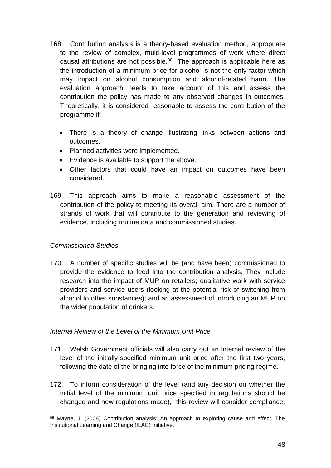- 168. Contribution analysis is a theory-based evaluation method, appropriate to the review of complex, multi-level programmes of work where direct causal attributions are not possible. $88$  The approach is applicable here as the introduction of a minimum price for alcohol is not the only factor which may impact on alcohol consumption and alcohol-related harm. The evaluation approach needs to take account of this and assess the contribution the policy has made to any observed changes in outcomes. Theoretically, it is considered reasonable to assess the contribution of the programme if:
	- There is a theory of change illustrating links between actions and outcomes.
	- Planned activities were implemented.
	- Evidence is available to support the above.
	- Other factors that could have an impact on outcomes have been considered.
- 169. This approach aims to make a reasonable assessment of the contribution of the policy to meeting its overall aim. There are a number of strands of work that will contribute to the generation and reviewing of evidence, including routine data and commissioned studies.

## *Commissioned Studies*

170. A number of specific studies will be (and have been) commissioned to provide the evidence to feed into the contribution analysis. They include research into the impact of MUP on retailers; qualitative work with service providers and service users (looking at the potential risk of switching from alcohol to other substances); and an assessment of introducing an MUP on the wider population of drinkers.

## *Internal Review of the Level of the Minimum Unit Price*

- 171. Welsh Government officials will also carry out an internal review of the level of the initially-specified minimum unit price after the first two years, following the date of the bringing into force of the minimum pricing regime.
- 172. To inform consideration of the level (and any decision on whether the initial level of the minimum unit price specified in regulations should be changed and new regulations made), this review will consider compliance,

<sup>88</sup> Mayne, J. (2008) Contribution analysis: An approach to exploring cause and effect. The Institutional Learning and Change (ILAC) Initiative.